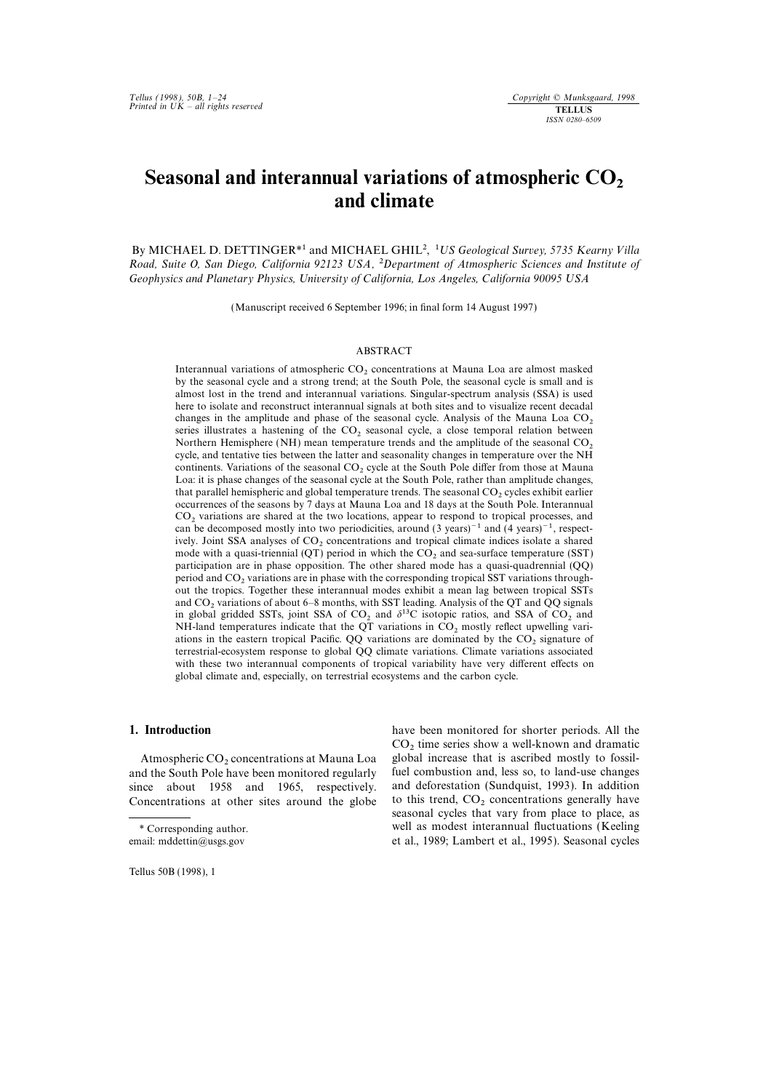# Seasonal and interannual variations of atmospheric  $CO<sub>2</sub>$ and climate

By MICHAEL D. DETTINGER<sup>\*1</sup> and MICHAEL GHIL<sup>2</sup>, <sup>1</sup>US Geological Survey, 5735 Kearny Villa Road, Suite O, San Diego, California 92123 USA, 2Department of Atmospheric Sciences and Institute of Geophysics and Planetary Physics, University of California, Los Angeles, California 90095 USA

(Manuscript received 6 September 1996; in final form 14 August 1997)

### **ABSTRACT**

Interannual variations of atmospheric  $CO<sub>2</sub>$  concentrations at Mauna Loa are almost masked by the seasonal cycle and a strong trend; at the South Pole, the seasonal cycle is small and is almost lost in the trend and interannual variations. Singular-spectrum analysis (SSA) is used here to isolate and reconstruct interannual signals at both sites and to visualize recent decadal changes in the amplitude and phase of the seasonal cycle. Analysis of the Mauna Loa  $CO_2$  series illustrates a hastening of the  $CO_2$  seasonal cycle, a close temporal relation between Northern Hemisphere (NH) mean tempera cycle, and tentative ties between the latter and seasonality changes in temperature over the NH continents. Variations of the seasonal  $CO<sub>2</sub>$  cycle at the South Pole differ from those at Mauna Loa: it is phase changes of the seasonal cycle at the South Pole, rather than amplitude changes, that parallel hemispheric and global temperature trends. The seasonal CO<sub>2</sub> cycles exhibit earlier occurrences of the seasons by 7 days at Mauna Loa and 18 days at the South Pole. Interannual CO<sub>2</sub> variations are shared at the two locations, appear to respond to tropical processes, and can be decomposed mostly into two periodicities, around (3 years)<sup>-1</sup> and (4 years)<sup>-1</sup>, respectively. Joint SSA analyses of CO<sub>2</sub> concentrations and tropical climate indices isolate a shared mode with a quasi-triennial (QT) period in which the  $CO<sub>2</sub>$  and sea-surface temperature (SST) participation are in phase opposition. The other shared mode has a quasi-quadrennial (QQ) period and CO<sub>2</sub> variations are in phase with the corresponding tropical SST variations throughout the tropics. Together these interannual modes exhibit a mean lag between tropical SSTs and  $CO<sub>2</sub>$  variations of about 6–8 months, with SST leading. Analysis of the QT and QQ signals in global gridded SSTs, joint SSA of CO<sub>2</sub> and  $\delta^{13}$ C isotopic ratios, and SSA of CO<sub>2</sub> and NH-land temperatures indicate that the QT variations in  $CO<sub>2</sub>$  mostly reflect upwelling variations in the eastern tropical Pacific. QQ variations are dominated by the  $CO<sub>2</sub>$  signature of terrestrial-ecosystem response to global QQ climate variations. Climate variations associated with these two interannual components of tropical variability have very different effects on global climate and, especially, on terrestrial ecosystems and the carbon cycle.

and the South Pole have been monitored regularly fuel combustion and, less so, to land-use changes since about 1958 and 1965 respectively and deforestation (Sundquist, 1993). In addition since about 1958 and 1965, respectively. and deforestation (Sundquist, 1993). In addition Concentrations at other sites around the globe to this trend,  $CO_2$  concentrations generally have Concentrations at other sites around the globe

Tellus 50B (1998), 1

1. Introduction have been monitored for shorter periods. All the  $CO<sub>2</sub>$  time series show a well-known and dramatic global increase that is ascribed mostly to fossil-Atmospheric  $CO_2$  concentrations at Mauna Loa global increase that is ascribed mostly to fossil-<br>ad the South Pole have been monitored regularly fuel combustion and, less so, to land-use changes seasonal cycles that vary from place to place, as \* Corresponding author. well as modest interannual fluctuations (Keeling email: mddettin@usgs.gov et al., 1989; Lambert et al., 1995). Seasonal cycles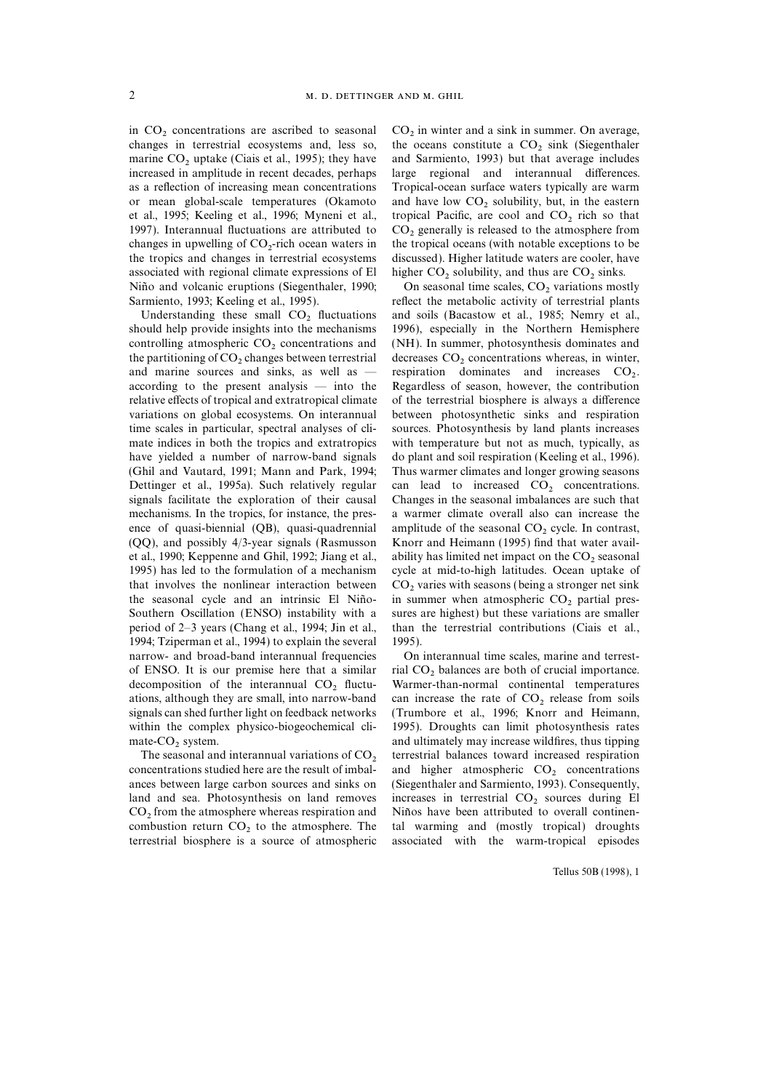in  $CO_2$  concentrations are ascribed to seasonal  $CO_2$  in winter and a sink in summer. On average, changes in terrestrial ecosystems and, less so, the oceans constitute a  $CO_2$  sink (Siegenthaler marine  $CO<sub>2</sub>$  uptake (Ciais et al., 1995); they have increased in amplitude in recent decades, perhaps as a reflection of increasing mean concentrations Tropical-ocean surface waters typically are warm or mean global-scale temperatures (Okamoto and have low  $CO_2$  solubility, but, in the eastern et al., 1995; Keeling et al., 1996; Myneni et al., tropical Pacific, are cool and  $CO_2$  rich so that et al., 1995; Keeling et al., 1996; Myneni et al., tropical Pacific, are cool and  $CO_2$  rich so that 1997). Interannual fluctuations are attributed to  $CO_2$  generally is released to the atmosphere from changes in upwelling of  $CO<sub>2</sub>$ -rich ocean waters in the tropics and changes in terrestrial ecosystems associated with regional climate expressions of El higher  $CO_2$  solubility, and thus are  $CO_2$  sinks.<br>Niño and volcanic eruptions (Siegenthaler, 1990; On seasonal time scales,  $CO_2$  variations mostly Niño and volcanic eruptions (Siegenthaler, 1990; Sarmiento, 1993; Keeling et al., 1995).

controlling atmospheric  $CO<sub>2</sub>$  concentrations and (NH). In summer, photosynthesis dominates and the partitioning of  $CO_2$  changes between terrestrial<br>and marine sources and sinks, as well as and marine sources and sinks, as well as — respiration dominates and increases  $CO<sub>2</sub>$ .<br>according to the present analysis — into the Regardless of season, however, the contribution relative effects of tropical and extratropical climate of the terrestrial biosphere is always a difference variations on global ecosystems. On interannual between photosynthetic sinks and respiration time scales in particular, spectral analyses of cli- sources. Photosynthesis by land plants increases mate indices in both the tropics and extratropics with temperature but not as much, typically, as have yielded a number of narrow-band signals do plant and soil respiration (Keeling et al., 1996). (Ghil and Vautard, 1991; Mann and Park, 1994; Thus warmer climates and longer growing seasons Dettinger et al., 1995a). Such relatively regular can lead to increased  $CO_2$  concentrations.<br>signals facilitate the exploration of their causal Changes in the seasonal imbalances are such that mechanisms. In the tropics, for instance, the pres- a warmer climate overall also can increase the ence of quasi-biennial (QB), quasi-quadrennial amplitude of the seasonal  $CO_2$  cycle. In contrast, (QQ), and possibly  $4/3$ -year signals (Rasmusson Knorr and Heimann (1995) find that water availet al., 1990; Keppenne and Ghil, 1992; Jiang et al., ability has limited net impact on the  $CO_2$  seasonal 1995) has led to the formulation of a mechanism cycle at mid-to-high latitudes. Ocean uptake of that involves the nonlinear interaction between  $CO_2$  varies with seasons (being a stronger net sink the seasonal cycle and an intrinsic El Niño- in summer when atmospheric  $CO_2$  partial presthe seasonal cycle and an intrinsic El Niño- in summer when atmospheric  $CO_2$  partial pres-<br>Southern Oscillation (ENSO) instability with a sures are highest) but these variations are smaller period of 2–3 years (Chang et al., 1994; Jin et al., than the terrestrial contributions (Ciais et al., 1994; Tziperman et al., 1994) to explain the several 1995). narrow- and broad-band interannual frequencies On interannual time scales, marine and terrestof ENSO. It is our premise here that a similar rial  $CO<sub>2</sub>$  balances are both of crucial importance.<br>decomposition of the interannual  $CO<sub>2</sub>$  fluctu- Warmer-than-normal continental temperatures decomposition of the interannual  $CO<sub>2</sub>$  fluctu-<br>ations, although they are small, into narrow-band can increase the rate of  $CO<sub>2</sub>$  release from soils ations, although they are small, into narrow-band can increase the rate of  $CO_2$  release from soils signals can shed further light on feedback networks (Trumbore et al., 1996; Knorr and Heimann, within the complex physico-biogeochemical cli- 1995). Droughts can limit photosynthesis rates

concentrations studied here are the result of imbal- and higher atmospheric  $CO_2$  concentrations ances between large carbon sources and sinks on (Siegenthaler and Sarmiento, 1993). Consequently, land and sea. Photosynthesis on land removes increases in terrestrial  $CO_2$  sources during El  $CO_2$  from the atmosphere whereas respiration and Niños have been attributed to overall continencombustion return  $CO<sub>2</sub>$  to the atmosphere. The terrestrial biosphere is a source of atmospheric

the oceans constitute a  $CO<sub>2</sub>$  sink (Siegenthaler and Sarmiento, 1993) but that average includes large regional and interannual differences.  $CO<sub>2</sub>$  generally is released to the atmosphere from the tropical oceans (with notable exceptions to be discussed). Higher latitude waters are cooler, have

reflect the metabolic activity of terrestrial plants Understanding these small  $CO_2$  fluctuations and soils (Bacastow et al., 1985; Nemry et al., should help provide insights into the mechanisms 1996), especially in the Northern Hemisphere 1996), especially in the Northern Hemisphere decreases  $CO<sub>2</sub>$  concentrations whereas, in winter, Regardless of season, however, the contribution Changes in the seasonal imbalances are such that Knorr and Heimann (1995) find that water availcycle at mid-to-high latitudes. Ocean uptake of sures are highest) but these variations are smaller

(Trumbore et al., 1996; Knorr and Heimann, mate- $CO<sub>2</sub>$  system.<br>The seasonal and interannual variations of  $CO<sub>2</sub>$  terrestrial balances toward increased respiration The seasonal and interannual variations of  $CO<sub>2</sub>$  terrestrial balances toward increased respiration concentrations studied here are the result of imbal- and higher atmospheric  $CO<sub>2</sub>$  concentrations (Siegenthaler and Sarmiento, 1993). Consequently, Niños have been attributed to overall continen-<br>tal warming and (mostly tropical) droughts associated with the warm-tropical episodes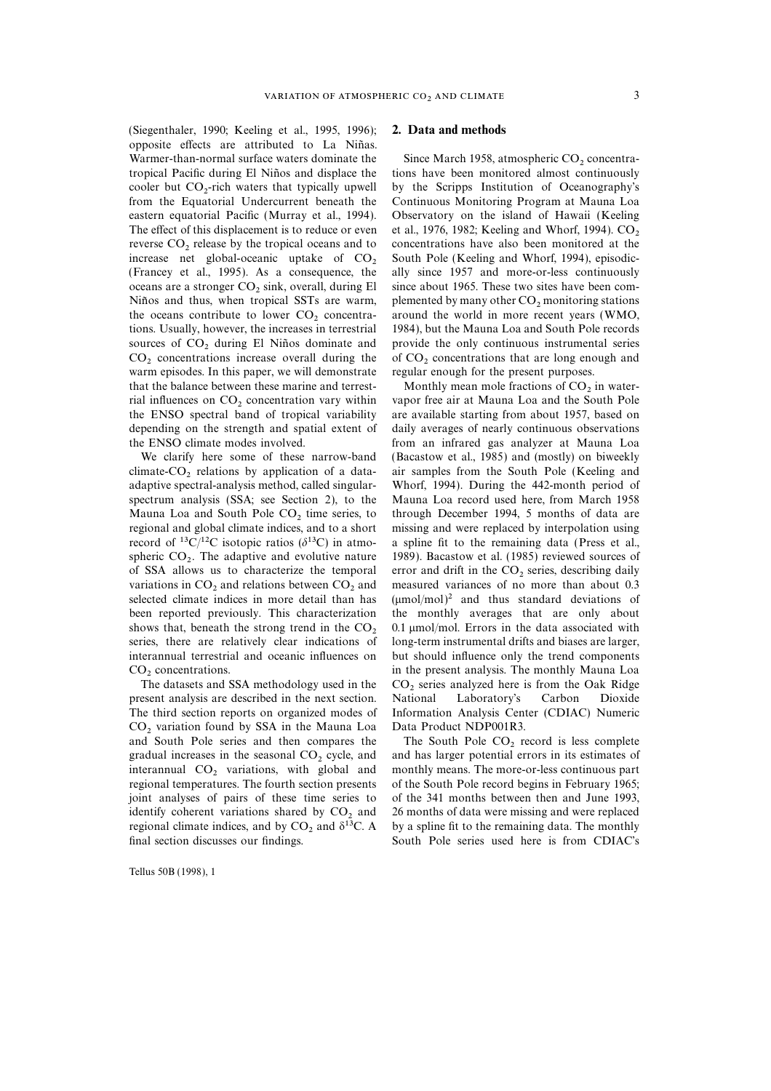(Siegenthaler, 1990; Keeling et al., 1995, 1996); 2. Data and methods opposite effects are attributed to La Niñas. Warmer-than-normal surface waters dominate the Since March 1958, atmospheric  $CO_2$  concentra-<br>tropical Pacific during El Niños and displace the tions have been monitored almost continuously tropical Pacific during El Niños and displace the cooler but  $CO_2$ -rich waters that typically upwell<br>from the Equatorial Undercurrent beneath the eastern equatorial Pacific (Murray et al., 1994). Observatory on the island of Hawaii (Keeling The effect of this displacement is to reduce or even et al., 1976, 1982; Keeling and Whorf, 1994).  $CO_2$  reverse  $CO_2$ , release by the tropical oceans and to concentrations have also been monitored at the reverse  $CO_2$  release by the tropical oceans and to concentrations have also been monitored at the increase net global-oceanic uptake of  $CO<sub>2</sub>$  South Pole (Keeling and Whorf, 1994), episodic-(Francey et al., 1995). As a consequence, the ally since 1957 and more-or-less continuously oceans are a stronger  $CO_2$  sink, overall, during El since about 1965. These two sites have been com-<br>Niños and thus, when tropical SSTs are warm, plemented by many other  $CO_2$  monitoring stations Niños and thus, when tropical SSTs are warm, plemented by many other  $CO_2$  monitoring stations the oceans contribute to lower  $CO_2$  concentra-<br>around the world in more recent years (WMO, the oceans contribute to lower  $CO_2$  concentra-<br>tions. Usually, however, the increases in terrestrial 1984), but the Mauna Loa and South Pole records sources of  $CO_2$  during El Niños dominate and provide the only continuous instrumental series  $CO_2$  concentrations increase overall during the of  $CO_2$  concentrations that are long enough and warm episodes. In this paper, we will demonstrate that the balance between these marine and terrest-<br>
Monthly mean mole fractions of  $CO_2$  in water-<br>
rial influences on  $CO_2$  concentration vary within<br>
vapor free air at Mauna Loa and the South Pole rial influences on  $CO_2$  concentration vary within vapor free air at Mauna Loa and the South Pole the ENSO spectral band of tropical variability are available starting from about 1957, based on the ENSO spectral band of tropical variability depending on the strength and spatial extent of daily averages of nearly continuous observations the ENSO climate modes involved. from an infrared gas analyzer at Mauna Loa

climate- $CO_2$  relations by application of a data- air samples from the South Pole (Keeling and adaptive spectral-analysis method, called singular- Whorf, 1994). During the 442-month period of spectrum analysis (SSA; see Section 2), to the Mauna Loa record used here, from March 1958 Mauna Loa and South Pole  $CO_2$  time series, to through December 1994, 5 months of data are regional and global climate indices, and to a short missing and were replaced by interpolation using regional and global climate indices, and to a short record of <sup>13</sup>C/<sup>12</sup>C isotopic ratios ( $\delta$ <sup>13</sup>C) in atmo- a spline fit to the remaining data (Press et al., spheric  $CO<sub>2</sub>$ . The adaptive and evolutive nature<br>of SSA allows us to characterize the temporal of SSA allows us to characterize the temporal error and drift in the  $CO_2$  series, describing daily variations in  $CO_2$  and relations between  $CO_2$  and measured variances of no more than about 0.3 variations in  $CO_2$  and relations between  $CO_2$  and measured variances of no more than about 0.3 selected climate indices in more detail than has  $(\mu mol/mol)^2$  and thus standard deviations of been reported previously. This characterization the monthly averages that are only about shows that, beneath the strong trend in the  $CO<sub>2</sub>$  0.1 µmol/mol. Errors in the data associated with series, there are relatively clear indications of long-term instrumental drifts and biases are larger, interannual terrestrial and oceanic influences on but should influence only the trend components

present analysis are described in the next section. The third section reports on organized modes of Information Analysis Center (CDIAC) Numeric CO<sub>2</sub> variation found by SSA in the Mauna Loa Data Product NDP001R3.<br>and South Pole series and then compares the The South Pole CO<sub>2</sub> record is less complete and South Pole series and then compares the gradual increases in the seasonal  $CO<sub>2</sub>$  cycle, and gradual increases in the seasonal  $CO<sub>2</sub>$  cycle, and and has larger potential errors in its estimates of interannual  $CO<sub>2</sub>$  variations, with global and monthly means. The more-or-less continuous part interannual  $CO_2$  variations, with global and monthly means. The more-or-less continuous part regional temperatures. The fourth section presents of the South Pole record begins in February 1965; joint analyses of pairs of these time series to of the 341 months between then and June 1993, identify coherent variations shared by  $CO_2$  and 26 months of data were missing and were replaced regional climate indices, and by  $CO_2$  and  $\delta^{13}C$ . A by a spline fit to the remaining data. The monthly regional climate indices, and by  $CO_2$  and  $\delta^{13}C$ . A final section discusses our findings.

Tellus 50B (1998), 1

by the Scripps Institution of Oceanography's Continuous Monitoring Program at Mauna Loa 1984), but the Mauna Loa and South Pole records of  $CO<sub>2</sub>$  concentrations that are long enough and regular enough for the present purposes.

We clarify here some of these narrow-band (Bacastow et al., 1985) and (mostly) on biweekly Whorf, 1994). During the 442-month period of 1989). Bacastow et al. (1985) reviewed sources of  $(\mu \text{mol/mol})^2$  and thus standard deviations of  $CO<sub>2</sub>$  concentrations.<br>The datasets and SSA methodology used in the  $CO<sub>2</sub>$  series analyzed here is from the Oak Ridge  $CO<sub>2</sub>$  series analyzed here is from the Oak Ridge<br>National Laboratory's Carbon Dioxide

> of the South Pole record begins in February 1965; South Pole series used here is from CDIAC's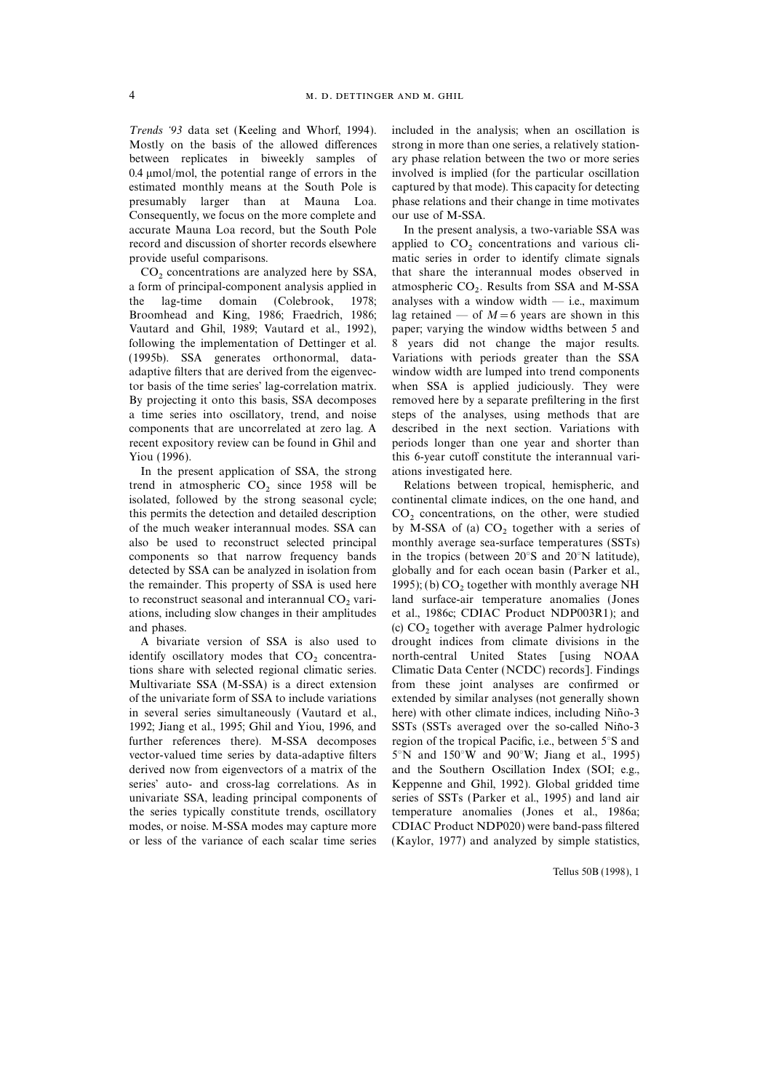Trends '93 data set (Keeling and Whorf, 1994). included in the analysis; when an oscillation is Mostly on the basis of the allowed differences strong in more than one series, a relatively stationbetween replicates in biweekly samples of ary phase relation between the two or more series 0.4 mmol/mol, the potential range of errors in the involved is implied (for the particular oscillation estimated monthly means at the South Pole is captured by that mode). This capacity for detecting presumably larger than at Mauna Loa. phase relations and their change in time motivates Consequently, we focus on the more complete and our use of M-SSA. accurate Mauna Loa record, but the South Pole In the present analysis, a two-variable SSA was record and discussion of shorter records elsewhere applied to  $CO_2$  concentrations and various cli-<br>provide useful comparisons.

a form of principal-component analysis applied in atmospheric  $CO_2$ . Results from SSA and M-SSA the lag-time domain (Colebrook, 1978; analyses with a window width — i.e., maximum Broomhead and King, 1986; Fraedrich, 1986; lag retained — of  $M=6$  years are shown in this Vautard and Ghil, 1989; Vautard et al., 1992), paper; varying the window widths between 5 and following the implementation of Dettinger et al. 8 years did not change the major results. (1995b). SSA generates orthonormal, data- Variations with periods greater than the SSA adaptive filters that are derived from the eigenvec- window width are lumped into trend components tor basis of the time series' lag-correlation matrix. when SSA is applied judiciously. They were By projecting it onto this basis, SSA decomposes removed here by a separate prefiltering in the first a time series into oscillatory, trend, and noise steps of the analyses, using methods that are components that are uncorrelated at zero lag. A described in the next section. Variations with recent expository review can be found in Ghil and periods longer than one year and shorter than Yiou (1996). this 6-year cutoff constitute the interannual vari-

In the present application of SSA, the strong ations investigated here. trend in atmospheric  $CO_2$  since 1958 will be<br>isolated, hemispheric, and isolated, followed by the strong seasonal cycle: continental climate indices, on the one hand, and isolated, followed by the strong seasonal cycle; this permits the detection and detailed description  $CO_2$  concentrations, on the other, were studied of the much weaker interannual modes. SSA can by M-SSA of (a)  $CO_2$  together with a series of of the much weaker interannual modes. SSA can by M-SSA of (a)  $CO<sub>2</sub>$  together with a series of also be used to reconstruct selected principal monthly average sea-surface temperatures (SSTs) components so that narrow frequency bands in the tropics (between 20°S and 20°N latitude), detected by SSA can be analyzed in isolation from globally and for each ocean basin (Parker et al., the remainder. This property of SSA is used here 1995); (b)  $CO_2$  together with monthly average NH to reconstruct seasonal and interannual  $CO_2$  vari-<br>land surface-air temperature anomalies (Jones to reconstruct seasonal and interannual  $CO<sub>2</sub>$  vari-<br>ations, including slow changes in their amplitudes et al., 1986c; CDIAC Product NDP003R1); and

identify oscillatory modes that  $CO_2$  concentra-<br>tions share with selected regional climatic series. Climatic Data Center (NCDC) records]. Findings Multivariate SSA (M-SSA) is a direct extension from these joint analyses are confirmed or of the univariate form of SSA to include variations extended by similar analyses (not generally shown in several series simultaneously (Vautard et al., here) with other climate indices, including Niño-3 1992; Jiang et al., 1995; Ghil and Yiou, 1996, and SSTs (SSTs averaged over the so-called Niño-3 further references there). M-SSA decomposes region of the tropical Pacific, i.e., between 5°S and vector-valued time series by data-adaptive filters  $5^\circ$ N and  $150^\circ$ W and  $90^\circ$ W; Jiang et al., 1995) derived now from eigenvectors of a matrix of the and the Southern Oscillation Index (SOI; e.g., series' auto- and cross-lag correlations. As in Keppenne and Ghil, 1992). Global gridded time univariate SSA, leading principal components of series of SSTs (Parker et al., 1995) and land air the series typically constitute trends, oscillatory temperature anomalies (Jones et al., 1986a; modes, or noise. M-SSA modes may capture more CDIAC Product NDP020) were band-pass filtered

matic series in order to identify climate signals.  $CO<sub>2</sub> concentrations are analyzed here by SSA, that share the interannual modes observed in a form of principal-component analysis applied in atmospheric  $CO<sub>2</sub>$ . Results from SSA and M-SSA$ analyses with a window width — i.e., maximum

monthly average sea-surface temperatures (SSTs) et al., 1986c; CDIAC Product NDP003R1); and and phases.<br>
(c)  $CO<sub>2</sub>$  together with average Palmer hydrologic<br>
A bivariate version of SSA is also used to drought indices from climate divisions in the drought indices from climate divisions in the Climatic Data Center (NCDC) records]. Findings or less of the variance of each scalar time series (Kaylor, 1977) and analyzed by simple statistics,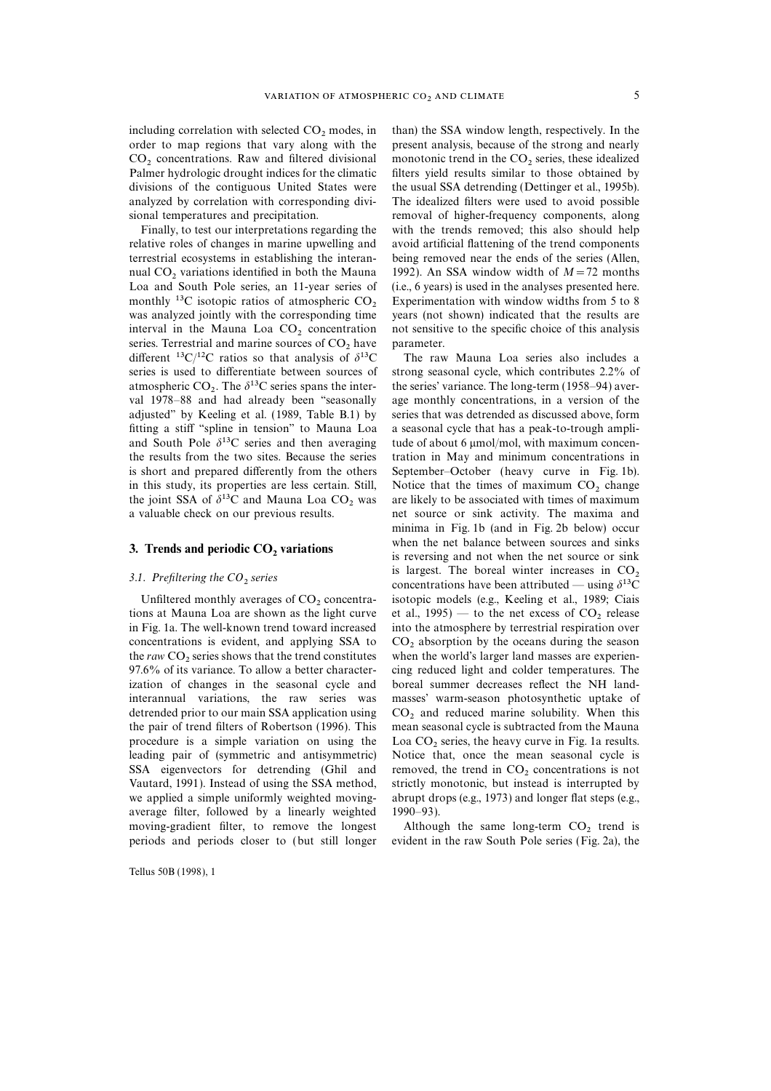including correlation with selected  $CO_2$  modes, in than) the SSA window length, respectively. In the order to map regions that vary along with the present analysis, because of the strong and nearly order to map regions that vary along with the  $CO<sub>2</sub>$  concentrations. Raw and filtered divisional monotonic trend in the  $CO<sub>2</sub>$  series, these idealized Palmer hydrologic drought indices for the climatic filters yield results similar to those obtained by divisions of the contiguous United States were the usual SSA detrending (Dettinger et al., 1995b). analyzed by correlation with corresponding divi- The idealized filters were used to avoid possible sional temperatures and precipitation. The removal of higher-frequency components, along

relative roles of changes in marine upwelling and avoid artificial flattening of the trend components terrestrial ecosystems in establishing the interan- being removed near the ends of the series (Allen, nual CO<sub>2</sub> variations identified in both the Mauna 1992). An SSA window width of  $M=72$  months Loa and South Pole series, an 11-year series of (i.e., 6 years) is used in the analyses presented here. monthly <sup>13</sup>C isotopic ratios of atmospheric  $CO<sub>2</sub>$  Experimentation with window widths from 5 to 8 was analyzed jointly with the corresponding time vears (not shown) indicated that the results are interval in the Mauna Loa  $CO_2$  concentration not sensitive to the specific choice of this analysis series. Terrestrial and marine sources of  $CO_2$  have parameter. series. Terrestrial and marine sources of  $CO<sub>2</sub>$  have parameter.<br>different <sup>13</sup>C/<sup>12</sup>C ratios so that analysis of  $\delta^{13}$ C The raw Mauna Loa series also includes a different <sup>13</sup>C/<sup>12</sup>C ratios so that analysis of  $\delta^{13}$ C atmospheric  $CO_2$ . The  $\delta^{13}C$  series spans the inter-<br>val 1978–88 and had already been "seasonally fitting a stiff ''spline in tension'' to Mauna Loa a seasonal cycle that has a peak-to-trough ampliand South Pole  $\delta^{13}C$  series and then averaging tude of about 6  $\mu$ mol/mol, with maximum concenis short and prepared differently from the others September–October (heavy curve in Fig. 1b). in this study, its properties are less certain. Still, Notice that the times of maximum  $CO_2$  change the joint SSA of  $\delta^{13}C$  and Mauna Loa CO<sub>2</sub> was are likely to be associated with times of maximum the joint SSA of  $\delta^{13}$ C and Mauna Loa CO<sub>2</sub> was a valuable check on our previous results.

tions at Mauna Loa are shown as the light curve et al.,  $1995$ ) — to the net excess of  $CO<sub>2</sub>$  release<br>in Fig. 1a. The well-known trend toward increased into the atmosphere by terrestrial respiration over concentrations is evident, and applying SSA to  $CO_2$  absorption by the oceans during the season the raw CO<sub>2</sub> series shows that the trend constitutes when the world's larger land masses are experien-97.6% of its variance. To allow a better characterization of changes in the seasonal cycle and boreal summer decreases reflect the NH landinterannual variations, the raw series was masses' warm-season photosynthetic uptake of detrended prior to our main SSA application using  $CO<sub>2</sub>$  and reduced marine solubility. When this the pair of trend filters of Robertson (1996). This mean seasonal cycle is subtracted from the Mauna procedure is a simple variation on using the  $\text{Loa CO}_2$  series, the heavy curve in Fig. 1a results.<br>leading pair of (symmetric and antisymmetric) Notice that, once the mean seasonal cycle is SSA eigenvectors for detrending (Ghil and removed, the trend in  $CO_2$  concentrations is not Vautard, 1991). Instead of using the SSA method, strictly monotonic, but instead is interrupted by we applied a simple uniformly weighted moving-<br>abrupt drops (e.g., 1973) and longer flat steps (e.g., average filter, followed by a linearly weighted 1990–93). moving-gradient filter, to remove the longest Although the same long-term  $CO_2$  trend is periods and periods closer to (but still longer evident in the raw South Pole series (Fig. 2a), the

Tellus 50B (1998), 1

filters yield results similar to those obtained by Finally, to test our interpretations regarding the with the trends removed; this also should help  $(i.e., 6 years)$  is used in the analyses presented here. years (not shown) indicated that the results are

series is used to differentiate between sources of strong seasonal cycle, which contributes 2.2% of the series' variance. The long-term (1958–94) average monthly concentrations, in a version of the adjusted'' by Keeling et al. (1989, Table B.1) by series that was detrended as discussed above, form the results from the two sites. Because the series tration in May and minimum concentrations in net source or sink activity. The maxima and minima in Fig. 1b (and in Fig. 2b below) occur 3. Trends and periodic  $CO_2$  variations when the net balance between sources and sinks is reversing and not when the net source or sink 3.1. Prefiltering the CO<sub>2</sub> series is largest. The boreal winter increases in CO<sub>2</sub> concentrations have been attributed — using  $\delta^{13}$ C Unfiltered monthly averages of  $CO_2$  concentra-isotopic models (e.g., Keeling et al., 1989; Ciais tions at Mauna Loa are shown as the light curve et al., 1995) — to the net excess of  $CO_2$  release into the atmosphere by terrestrial respiration over when the world's larger land masses are experien-<br>cing reduced light and colder temperatures. The mean seasonal cycle is subtracted from the Mauna Notice that, once the mean seasonal cycle is strictly monotonic, but instead is interrupted by

evident in the raw South Pole series (Fig. 2a), the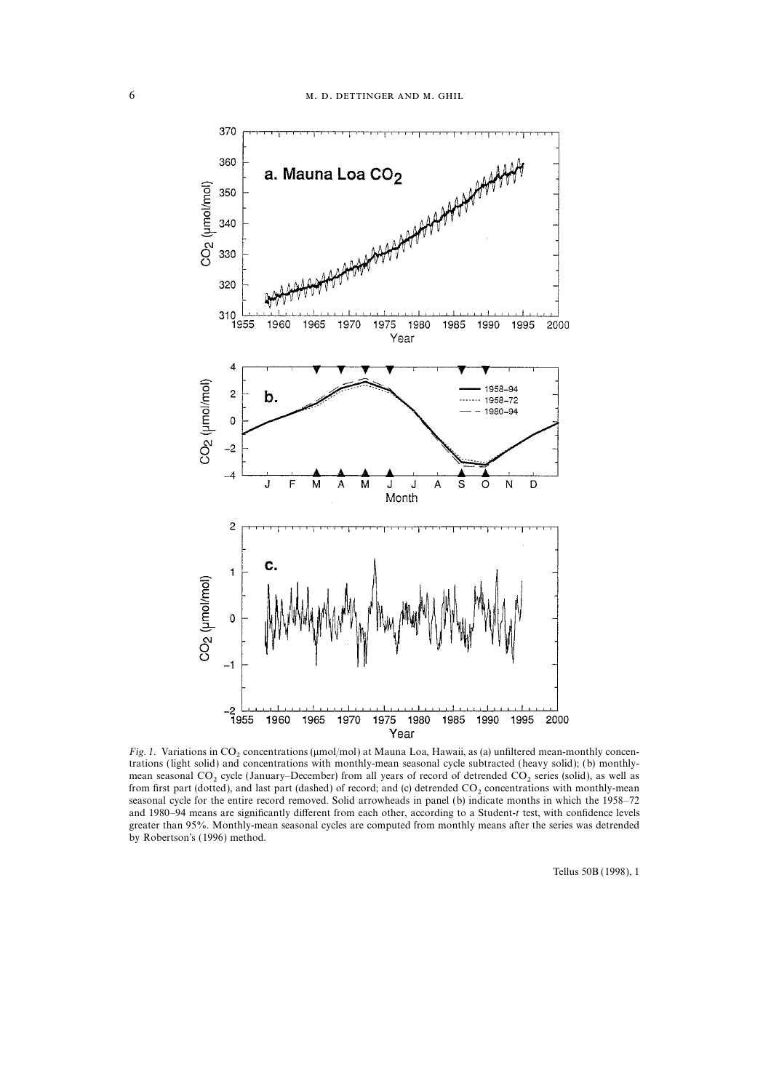

Fig. 1. Variations in CO<sub>2</sub> concentrations ( $\mu$ mol/mol) at Mauna Loa, Hawaii, as (a) unfiltered mean-monthly concentrations (light solid) and concentrations with monthly-mean seasonal cycle subtracted (heavy solid); (b) monthlymean seasonal CO<sub>2</sub> cycle (January–December) from all years of record of detrended CO<sub>2</sub> series (solid), as well as from first part (dotted), and last part (dashed) of record; and (c) detrended CO<sub>2</sub> concentrations with monthly-mean seasonal cycle for the entire record removed. Solid arrowheads in panel (b) indicate months in which the 1958–72 and 1980–94 means are significantly different from each other, according to a Student-t test, with confidence levels greater than 95%. Monthly-mean seasonal cycles are computed from monthly means after the series was detrended by Robertson's (1996) method.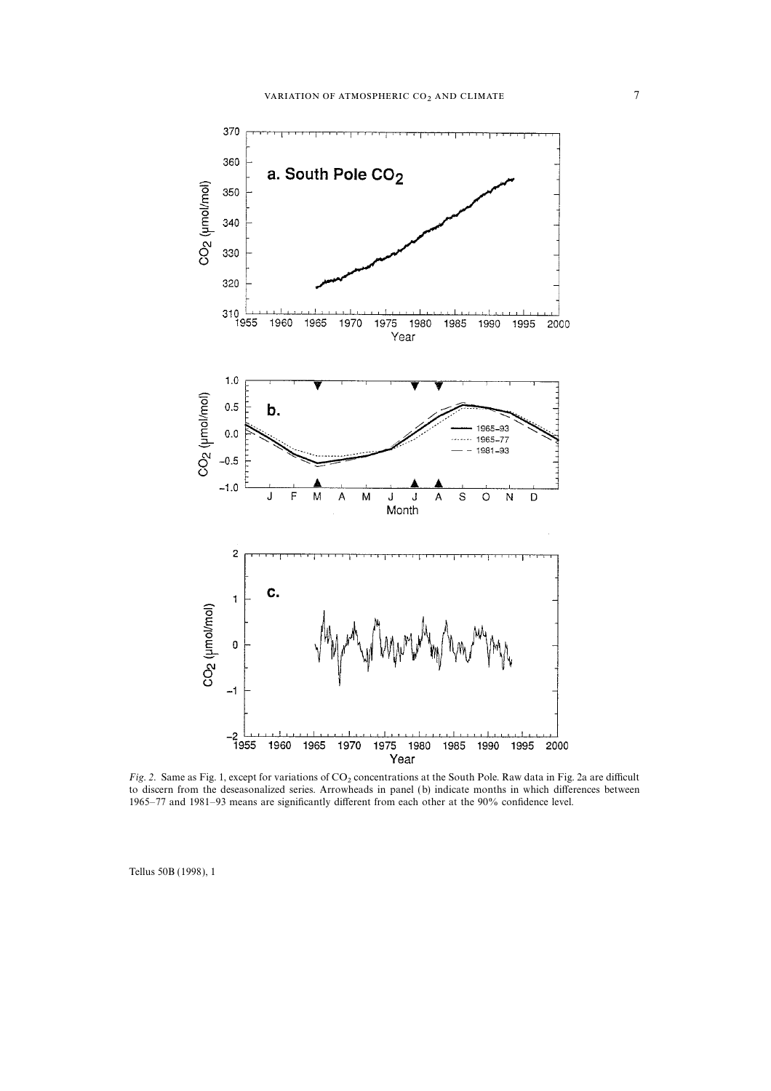

Fig. 2. Same as Fig. 1, except for variations of  $CO<sub>2</sub>$  concentrations at the South Pole. Raw data in Fig. 2a are difficult to discern from the deseasonalized series. Arrowheads in panel (b) indicate months in which differences between 1965–77 and 1981–93 means are significantly different from each other at the 90% confidence level.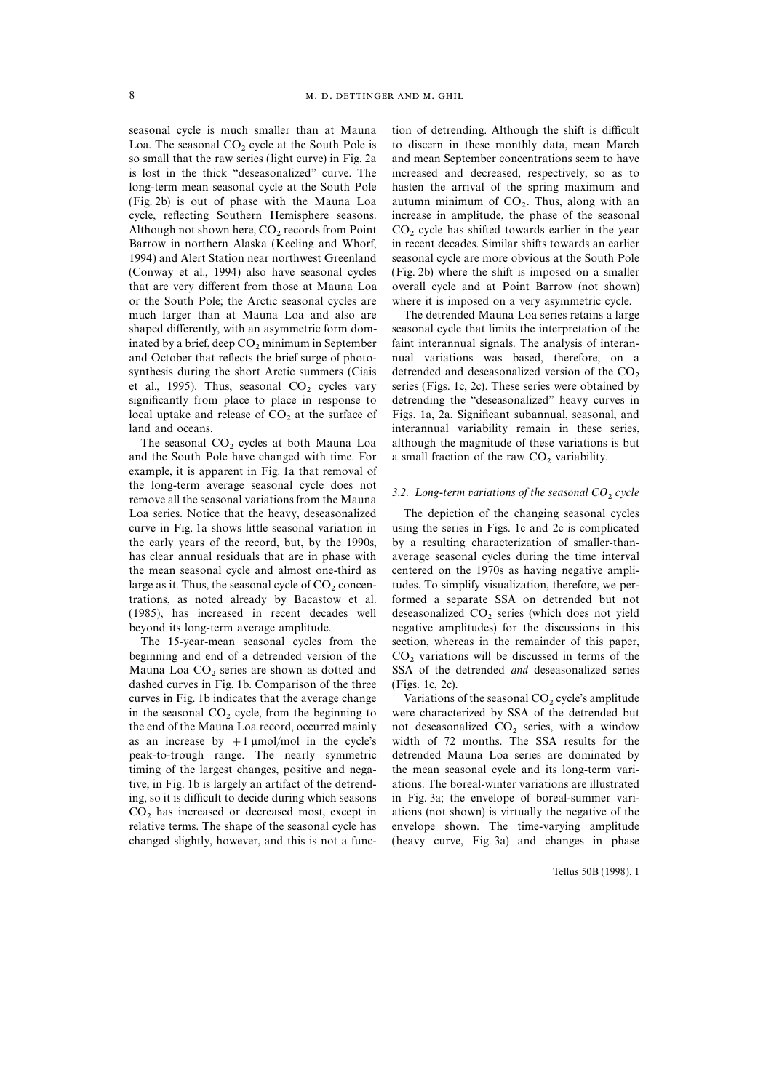Loa. The seasonal  $CO_2$  cycle at the South Pole is to discern in these monthly data, mean March so small that the raw series (light curve) in Fig. 2a and mean September concentrations seem to have is lost in the thick ''deseasonalized'' curve. The increased and decreased, respectively, so as to long-term mean seasonal cycle at the South Pole hasten the arrival of the spring maximum and (Fig. 2b) is out of phase with the Mauna Loa autumn minimum of  $CO<sub>2</sub>$ . Thus, along with an cycle, reflecting Southern Hemisphere seasons. increase in amplitude, the phase of the seasonal Although not shown here,  $CO_2$  records from Point  $CO_2$  cycle has shifted towards earlier in the year Barrow in northern Alaska (Keeling and Whorf, in recent decades. Similar shifts towards an earlier 1994) and Alert Station near northwest Greenland seasonal cycle are more obvious at the South Pole (Conway et al., 1994) also have seasonal cycles (Fig. 2b) where the shift is imposed on a smaller that are very different from those at Mauna Loa overall cycle and at Point Barrow (not shown) or the South Pole; the Arctic seasonal cycles are where it is imposed on a very asymmetric cycle. much larger than at Mauna Loa and also are The detrended Mauna Loa series retains a large shaped differently, with an asymmetric form dom- seasonal cycle that limits the interpretation of the inated by a brief, deep  $CO_2$  minimum in September faint interannual signals. The analysis of interan- and October that reflects the brief surge of photo- nual variations was based, therefore, on a synthesis during the short Arctic summers (Ciais detrended and deseasonalized version of the  $CO<sub>2</sub>$  et al., 1995). Thus, seasonal  $CO<sub>2</sub>$  cycles vary series (Figs. 1c, 2c). These series were obtained by significantly from place to place in response to local uptake and release of  $CO_2$  at the surface of Figs. 1a, 2a. Significant subannual, seasonal, and land and oceans.

and the South Pole have changed with time. For example, it is apparent in Fig. 1a that removal of the long-term average seasonal cycle does not<br>remove all the seasonal variations from the Mauna  $\frac{3.2}{2}$ . Long-term variations of the seasonal CO<sub>2</sub> cycle Loa series. Notice that the heavy, deseasonalized The depiction of the changing seasonal cycles the early years of the record, but, by the 1990s, by a resulting characterization of smaller-thanthe mean seasonal cycle and almost one-third as centered on the 1970s as having negative amplilarge as it. Thus, the seasonal cycle of  $CO_2$  concen-<br>trations, as noted already by Bacastow et al. formed a separate SSA on detrended but not  $(1985)$ , has increased in recent decades well deseasonalized  $CO<sub>2</sub>$  series (which does not yield beyond its long-term average amplitude. negative amplitudes) for the discussions in this

beginning and end of a detrended version of the  $CO<sub>2</sub>$  variations will be discussed in terms of the Mauna Loa  $CO<sub>2</sub>$  series are shown as dotted and SSA of the detrended *and* deseasonalized series dashed curves in Fig. 1b. Comparison of the three curves in Fig. 1b indicates that the average change Variations of the seasonal  $CO<sub>2</sub>$  cycle's amplitude in the seasonal  $CO<sub>2</sub>$  cycle, from the beginning to were characterized by SSA of the detrended but in the seasonal  $CO_2$  cycle, from the beginning to were characterized by SSA of the detrended but the end of the Mauna Loa record, occurred mainly not deseasonalized  $CO_2$  series, with a window the end of the Mauna Loa record, occurred mainly not deseasonalized  $CO_2$  series, with a window as an increase by  $+1 \mu$ mol/mol in the cycle's width of 72 months. The SSA results for the peak-to-trough range. The nearly symmetric detrended Mauna Loa series are dominated by timing of the largest changes, positive and nega- the mean seasonal cycle and its long-term varitive, in Fig. 1b is largely an artifact of the detrend- ations. The boreal-winter variations are illustrated ing, so it is difficult to decide during which seasons in Fig. 3a; the envelope of boreal-summer vari- $CO<sub>2</sub>$  has increased or decreased most, except in ations (not shown) is virtually the negative of the relative terms. The shape of the seasonal cycle has envelope shown. The time-varying amplitude relative terms. The shape of the seasonal cycle has

seasonal cycle is much smaller than at Mauna tion of detrending. Although the shift is difficult and mean September concentrations seem to have increase in amplitude, the phase of the seasonal in recent decades. Similar shifts towards an earlier

nual variations was based, therefore, on a series (Figs. 1c, 2c). These series were obtained by detrending the "deseasonalized" heavy curves in interannual variability remain in these series, The seasonal  $CO_2$  cycles at both Mauna Loa although the magnitude of these variations is but d the South Pole have changed with time. For a small fraction of the raw  $CO_2$  variability.

curve in Fig. 1a shows little seasonal variation in using the series in Figs. 1c and 2c is complicated has clear annual residuals that are in phase with average seasonal cycles during the time interval formed a separate SSA on detrended but not negative amplitudes) for the discussions in this The 15-year-mean seasonal cycles from the section, whereas in the remainder of this paper, SSA of the detrended *and* deseasonalized series (Figs. 1c, 2c).

width of 72 months. The SSA results for the changed slightly, however, and this is not a func- (heavy curve, Fig. 3a) and changes in phase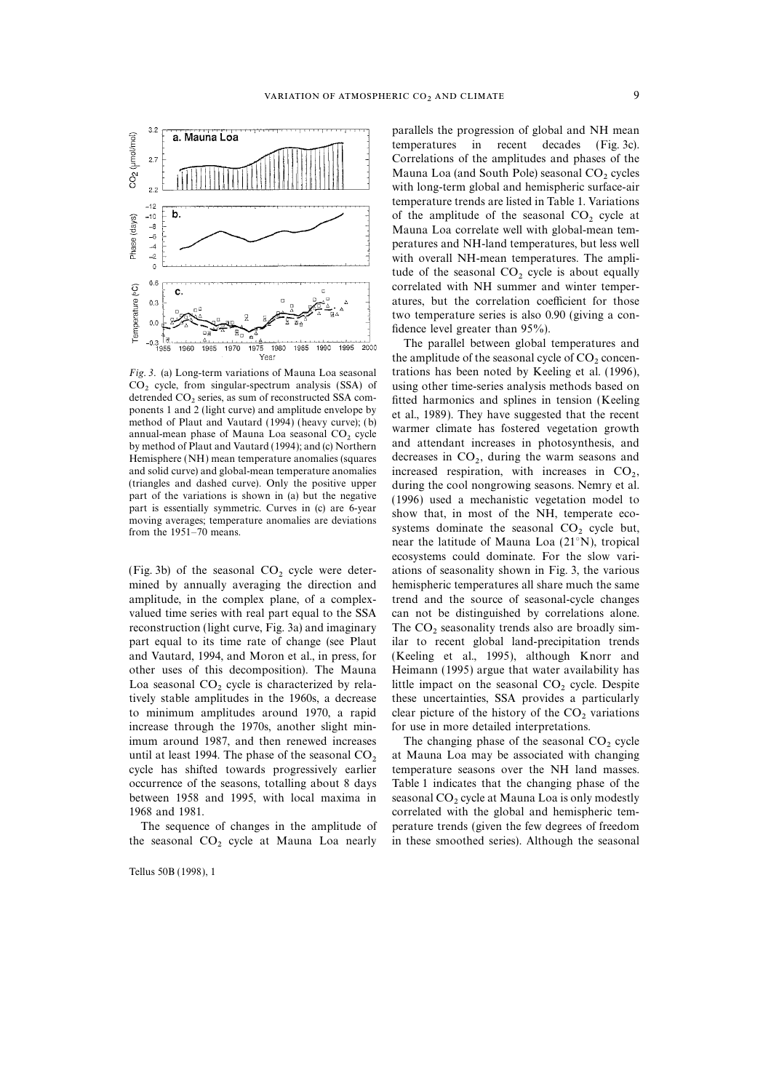

Fig. 3. (a) Long-term variations of Mauna Loa seasonal

amplitude, in the complex plane, of a complex- trend and the source of seasonal-cycle changes valued time series with real part equal to the SSA can not be distinguished by correlations alone. reconstruction (light curve, Fig. 3a) and imaginary The  $CO_2$  seasonality trends also are broadly simpart equal to its time rate of change (see Plaut ilar to recent global land-precipitation trends and Vautard, 1994, and Moron et al., in press, for (Keeling et al., 1995), although Knorr and other uses of this decomposition). The Mauna Heimann (1995) argue that water availability has Loa seasonal  $CO_2$  cycle is characterized by rela-<br>title impact on the seasonal  $CO_2$  cycle. Despite<br>tively stable amplitudes in the 1960s, a decrease these uncertainties, SSA provides a particularly to minimum amplitudes around 1970, a rapid clear picture of the history of the  $CO<sub>2</sub>$  variations increase through the 1970s, another slight min-<br>for use in more detailed interpretations. increase through the 1970s, another slight minimum around 1987, and then renewed increases The changing phase of the seasonal  $CO_2$  cycle until at least 1994. The phase of the seasonal  $CO_2$  at Mauna Loa may be associated with changing until at least 1994. The phase of the seasonal  $CO<sub>2</sub>$  at Mauna Loa may be associated with changing cycle has shifted towards progressively earlier temperature seasons over the NH land masses. occurrence of the seasons, totalling about 8 days Table 1 indicates that the changing phase of the

the seasonal CO<sub>2</sub> cycle at Mauna Loa nearly in these smoothed series). Although the seasonal

Tellus 50B (1998), 1

parallels the progression of global and NH mean temperatures in recent decades (Fig. 3c). Correlations of the amplitudes and phases of the Mauna Loa (and South Pole) seasonal  $CO<sub>2</sub>$  cycles with long-term global and hemispheric surface-air temperature trends are listed in Table 1. Variations of the amplitude of the seasonal  $CO<sub>2</sub>$  cycle at Mauna Loa correlate well with global-mean temperatures and NH-land temperatures, but less well with overall NH-mean temperatures. The amplitude of the seasonal  $CO<sub>2</sub>$  cycle is about equally correlated with NH summer and winter temperatures, but the correlation coefficient for those two temperature series is also 0.90 (giving a confidence level greater than 95%).

The parallel between global temperatures and the amplitude of the seasonal cycle of  $CO<sub>2</sub>$  concentrations has been noted by Keeling et al. (1996),  $CO<sub>2</sub>$  cycle, from singular-spectrum analysis (SSA) of using other time-series analysis methods based on detrended  $CO<sub>2</sub>$  series, as sum of reconstructed SSA com-<br>fitted harmonics and splines in tension (Keeling detrended  $CO_2$  series, as sum of reconstructed SSA com-<br>ponents 1 and 2 (light curve) and amplitude envelope by<br>method of Plaut and Vautard (1994) (heavy curve); (b)<br>annual-mean phase of Mauna Loa seasonal  $CO_2$  cycle<br>by Hemisphere (NH) mean temperature anomalies (squares decreases in  $CO_2$ , during the warm seasons and and solid curve) and global-mean temperature anomalies increased respiration, with increases in  $CO_2$ , and solid curve) and global-mean temperature anomalies increased respiration, with increases in  $CO_2$ ,<br>(triangles and dashed curve). Only the positive upper divisor the soal nanoparation access Nammat al. (triangles and dashed curve). Only the positive upper<br>
during the cool nongrowing seasons. Nemry et al.<br>
part of the variations is shown in (a) but the negative<br>
part is essentially symmetric. Curves in (c) are 6-year<br>
mo near the latitude of Mauna Loa (21°N), tropical ecosystems could dominate. For the slow vari- (Fig. 3b) of the seasonal  $CO_2$  cycle were deter-<br>miss of seasonality shown in Fig. 3, the various<br>mined by annually averaging the direction and hemispheric temperatures all share much the same hemispheric temperatures all share much the same ilar to recent global land-precipitation trends these uncertainties, SSA provides a particularly

temperature seasons over the NH land masses. between 1958 and 1995, with local maxima in seasonal  $CO_2$  cycle at Mauna Loa is only modestly<br>1968 and 1981. correlated with the global and hemispheric tem-The sequence of changes in the amplitude of perature trends (given the few degrees of freedom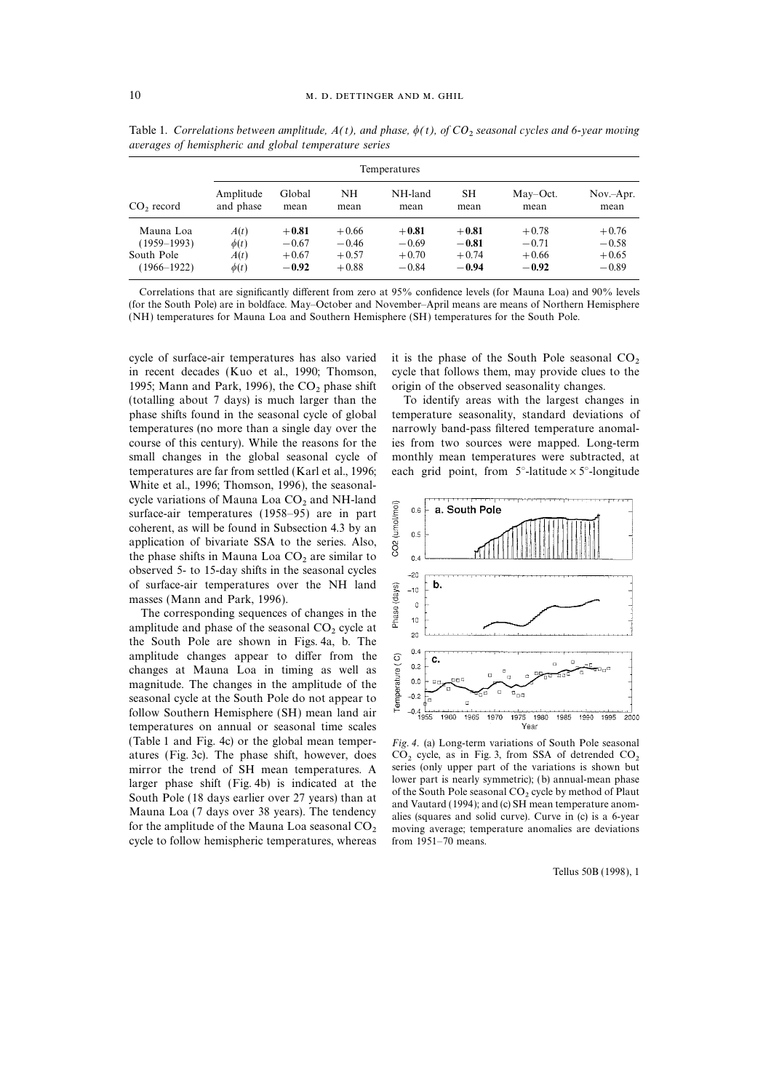|                 | Temperatures           |                |            |                 |            |                  |                    |
|-----------------|------------------------|----------------|------------|-----------------|------------|------------------|--------------------|
| $CO2$ record    | Amplitude<br>and phase | Global<br>mean | NΗ<br>mean | NH-land<br>mean | SН<br>mean | May-Oct.<br>mean | $Nov-Apr.$<br>mean |
| Mauna Loa       | A(t)                   | $+0.81$        | $+0.66$    | $+0.81$         | $+0.81$    | $+0.78$          | $+0.76$            |
| $(1959 - 1993)$ | $\phi(t)$              | $-0.67$        | $-0.46$    | $-0.69$         | $-0.81$    | $-0.71$          | $-0.58$            |
| South Pole      | A(t)                   | $+0.67$        | $+0.57$    | $+0.70$         | $+0.74$    | $+0.66$          | $+0.65$            |
| $(1966 - 1922)$ | $\phi(t)$              | $-0.92$        | $+0.88$    | $-0.84$         | $-0.94$    | $-0.92$          | $-0.89$            |

Table 1. Correlations between amplitude,  $A(t)$ , and phase,  $\phi(t)$ , of CO<sub>2</sub> seasonal cycles and 6-year moving averages of hemispheric and global temperature series

Correlations that are significantly different from zero at 95% confidence levels (for Mauna Loa) and 90% levels (for the South Pole) are in boldface. May–October and November–April means are means of Northern Hemisphere (NH) temperatures for Mauna Loa and Southern Hemisphere (SH) temperatures for the South Pole.

cycle of surface-air temperatures has also varied it is the phase of the South Pole seasonal  $CO_2$  in recent decades (Kuo et al., 1990; Thomson, cycle that follows them, may provide clues to the 1995; Mann and Park, 1996), the  $CO_2$  phase shift origin of the observed seasonality changes.<br>(totalling about 7 days) is much larger than the To identify areas with the largest changes in (totalling about  $7$  days) is much larger than the phase shifts found in the seasonal cycle of global temperature seasonality, standard deviations of temperatures (no more than a single day over the narrowly band-pass filtered temperature anomalcourse of this century). While the reasons for the ies from two sources were mapped. Long-term small changes in the global seasonal cycle of monthly mean temperatures were subtracted, at temperatures are far from settled (Karl et al., 1996; each grid point, from  $5^\circ$ -latitude  $\times 5^\circ$ -longitude White et al., 1996; Thomson, 1996), the seasonalcycle variations of Mauna Loa  $CO<sub>2</sub>$  and NH-land surface-air temperatures (1958–95) are in part coherent, as will be found in Subsection 4.3 by an application of bivariate SSA to the series. Also, the phase shifts in Mauna Loa  $CO<sub>2</sub>$  are similar to observed 5- to 15-day shifts in the seasonal cycles of surface-air temperatures over the NH land masses (Mann and Park, 1996).

The corresponding sequences of changes in the amplitude and phase of the seasonal  $CO<sub>2</sub>$  cycle at the South Pole are shown in Figs. 4a, b. The amplitude changes appear to differ from the changes at Mauna Loa in timing as well as magnitude. The changes in the amplitude of the seasonal cycle at the South Pole do not appear to follow Southern Hemisphere (SH) mean land air temperatures on annual or seasonal time scales (Table 1 and Fig. 4c) or the global mean temper- Fig. 4. (a) Long-term variations of South Pole seasonal atures (Fig. 3c). The phase shift, however, does  $CO_2$  cycle, as in Fig. 3, from SSA of detrended  $CO_2$  mirror the trend of SH mean temperatures. A series (only upper part of the variations is shown but mirror the trend of SH mean temperatures. A series (only upper part of the variations is shown but<br>larger phase shift (Eig 4b) is indicated at the lower part is nearly symmetric); (b) annual-mean phase larger phase shift (Fig. 4b) is indicated at the lower part is nearly symmetric); (b) annual-mean phase<br>South Pole (18 days earlier over 27 years) than at and Vautard (1994); and (c) SH mean temperature anom-<br>Mauna Loa (7 cycle to follow hemispheric temperatures, whereas.



moving average; temperature anomalies are deviations from 1951–70 means.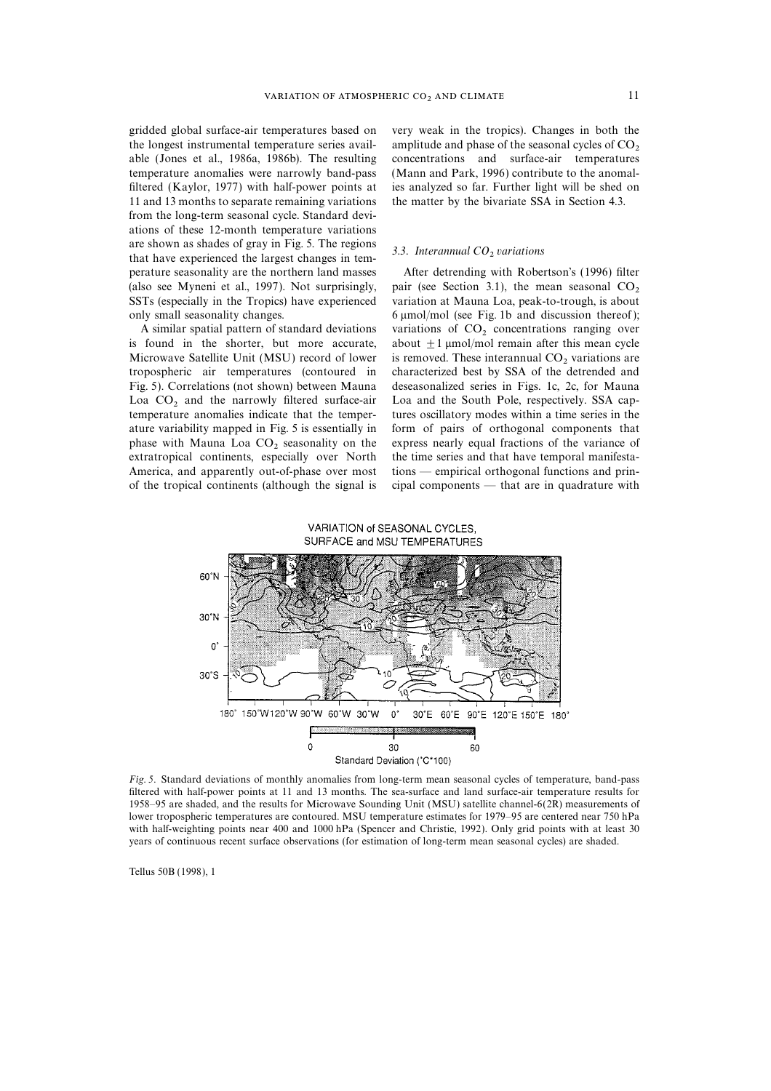the longest instrumental temperature series avail-<br>amplitude and phase of the seasonal cycles of  $CO_2$ <br>able (Jones et al., 1986a, 1986b). The resulting concentrations and surface-air temperatures temperature anomalies were narrowly band-pass (Mann and Park, 1996) contribute to the anomalfiltered (Kaylor, 1977) with half-power points at ies analyzed so far. Further light will be shed on 11 and 13 months to separate remaining variations the matter by the bivariate SSA in Section 4.3. from the long-term seasonal cycle. Standard deviations of these 12-month temperature variations are shown as shades of gray in Fig. 5. The regions  $3.3$ . Interannual CO<sub>2</sub> variations that have experienced the largest changes in temperature seasonality are the northern land masses After detrending with Robertson's (1996) filter (also see Myneni et al., 1997). Not surprisingly, pair (see Section 3.1), the mean seasonal  $CO_2$  SSTs (especially in the Tropics) have experienced variation at Mauna Loa, peak-to-trough, is about only small seasonality changes. 6 mmol/mol (see Fig. 1b and discussion thereof);

Microwave Satellite Unit (MSU) record of lower is removed. These interannual  $CO<sub>2</sub>$  variations are tropospheric air temperatures (contoured in characterized best by SSA of the detrended and Fig. 5). Correlations (not shown) between Mauna deseasonalized series in Figs. 1c, 2c, for Mauna Loa  $CO<sub>2</sub>$  and the narrowly filtered surface-air Loa and the South Pole, respectively. SSA captemperature anomalies indicate that the temper-<br>tures oscillatory modes within a time series in the ature variability mapped in Fig. 5 is essentially in form of pairs of orthogonal components that phase with Mauna Loa  $CO_2$  seasonality on the express nearly equal fractions of the variance of extratropical continents, especially over North the time series and that have temporal manifestaextratropical continents, especially over North America, and apparently out-of-phase over most tions — empirical orthogonal functions and prinof the tropical continents (although the signal is cipal components — that are in quadrature with

gridded global surface-air temperatures based on very weak in the tropics). Changes in both the concentrations and surface-air temperatures

variation at Mauna Loa, peak-to-trough, is about A similar spatial pattern of standard deviations variations of  $CO_2$  concentrations ranging over is found in the shorter, but more accurate, about  $\pm 1$  µmol/mol remain after this mean cycle about  $\pm 1$  µmol/mol remain after this mean cycle characterized best by SSA of the detrended and tures oscillatory modes within a time series in the





Fig. 5. Standard deviations of monthly anomalies from long-term mean seasonal cycles of temperature, band-pass filtered with half-power points at 11 and 13 months. The sea-surface and land surface-air temperature results for 1958–95 are shaded, and the results for Microwave Sounding Unit (MSU) satellite channel-6(2R) measurements of lower tropospheric temperatures are contoured. MSU temperature estimates for 1979–95 are centered near 750 hPa with half-weighting points near 400 and 1000 hPa (Spencer and Christie, 1992). Only grid points with at least 30 years of continuous recent surface observations (for estimation of long-term mean seasonal cycles) are shaded.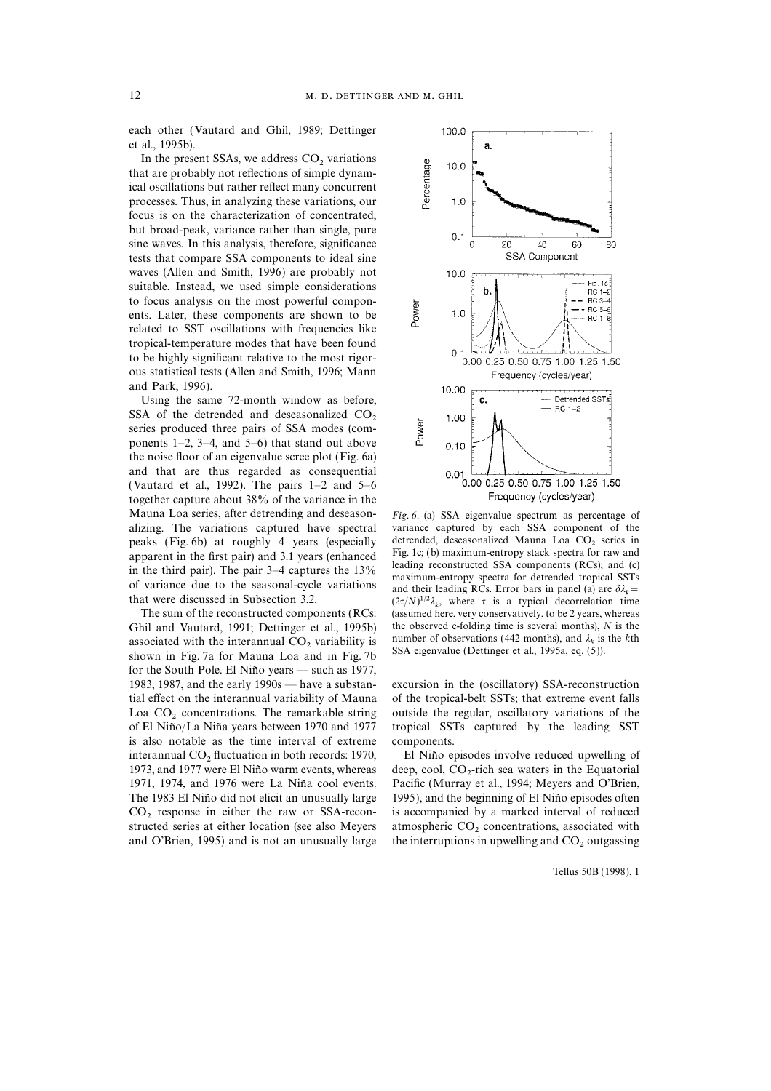each other (Vautard and Ghil, 1989; Dettinger et al., 1995b).

In the present SSAs, we address  $CO<sub>2</sub>$  variations that are probably not reflections of simple dynamical oscillations but rather reflect many concurrent processes. Thus, in analyzing these variations, our focus is on the characterization of concentrated, but broad-peak, variance rather than single, pure sine waves. In this analysis, therefore, significance tests that compare SSA components to ideal sine waves (Allen and Smith, 1996) are probably not suitable. Instead, we used simple considerations to focus analysis on the most powerful components. Later, these components are shown to be related to SST oscillations with frequencies like tropical-temperature modes that have been found to be highly significant relative to the most rigorous statistical tests (Allen and Smith, 1996; Mann and Park, 1996).

Using the same 72-month window as before, SSA of the detrended and deseasonalized  $CO<sub>2</sub>$  series produced three pairs of SSA modes (components 1–2, 3–4, and 5–6) that stand out above the noise floor of an eigenvalue scree plot (Fig. 6a) and that are thus regarded as consequential (Vautard et al., 1992). The pairs 1–2 and 5–6 together capture about 38% of the variance in the Mauna Loa series, after detrending and deseason- Fig. 6. (a) SSA eigenvalue spectrum as percentage of alizing. The variations captured have spectral variance captured by each SSA component of the peaks (Fig. 6b) at roughly 4 years (especially detrended, deseasonalized Mauna Loa  $CO_2$  series in apparent in the first pair) and 3.1 years (enhanced Fig. 1c; (b) maximum-entropy stack spectra for raw and apparent in the first pair) and 3.1 years (emanced<br>in the third pair). The pair 3–4 captures the 13%<br>of variance due to the seasonal-cycle variations<br>their leading RCs. Error bars in panel (a) are  $\delta \lambda_k$  =<br>that were disc

associated with the interannual  $CO<sub>2</sub>$  variability is shown in Fig. 7a for Mauna Loa and in Fig. 7b for the South Pole. El Niño years — such as  $1977$ , 1983, 1987, and the early 1990s — have a substan- excursion in the (oscillatory) SSA-reconstruction is also notable as the time interval of extreme components. interannual  $CO<sub>2</sub>$  fluctuation in both records: 1970, El Niño episodes involve reduced upwelling of 1973, and 1977 were El Niño warm events, whereas 1971, 1974, and 1976 were La Niña cool events. The 1983 El Niño did not elicit an unusually large 1995), and the beginning of El Niño episodes often  $CO<sub>2</sub>$  response in either the raw or SSA-recon-<br>structed active is accompanied by a marked interval of reduced<br>structed series at either location (see also Meyers atmospheric CO<sub>2</sub> concentrations, associated with



or variance due to the seasonal-cycle variations<br>
and their leading RCs. Error bars in panel (a) are  $\delta \lambda_k$  =<br>  $(2\tau/N)^{1/2}\lambda_k$ , where  $\tau$  is a typical decorrelation time<br>
The sum of the reconstructed components (PCs: (s The sum of the reconstructed components (RCs: (assumed here, very conservatively, to be 2 years, whereas Ghil and Vautard, 1991; Dettinger et al., 1995b) the observed e-folding time is several months), N is the number of observations (442 months), and  $\lambda_k$  is the *k*th SSA eigenvalue (Dettinger et al., 1995a, eq. (5)).

tial effect on the interannual variability of Mauna of the tropical-belt SSTs; that extreme event falls Loa  $CO_2$  concentrations. The remarkable string outside the regular, oscillatory variations of the of El Niño/La Niña years between 1970 and 1977 tropical SSTs captured by the leading SST tropical SSTs captured by the leading SST

deep, cool,  $CO_2$ -rich sea waters in the Equatorial Pacific (Murray et al., 1994; Meyers and O'Brien, structed series at either location (see also Meyers atmospheric  $CO_2$  concentrations, associated with and O'Brien, 1995) and is not an unusually large the interruptions in upwelling and  $CO_2$  outgassing the interruptions in upwelling and  $CO<sub>2</sub>$  outgassing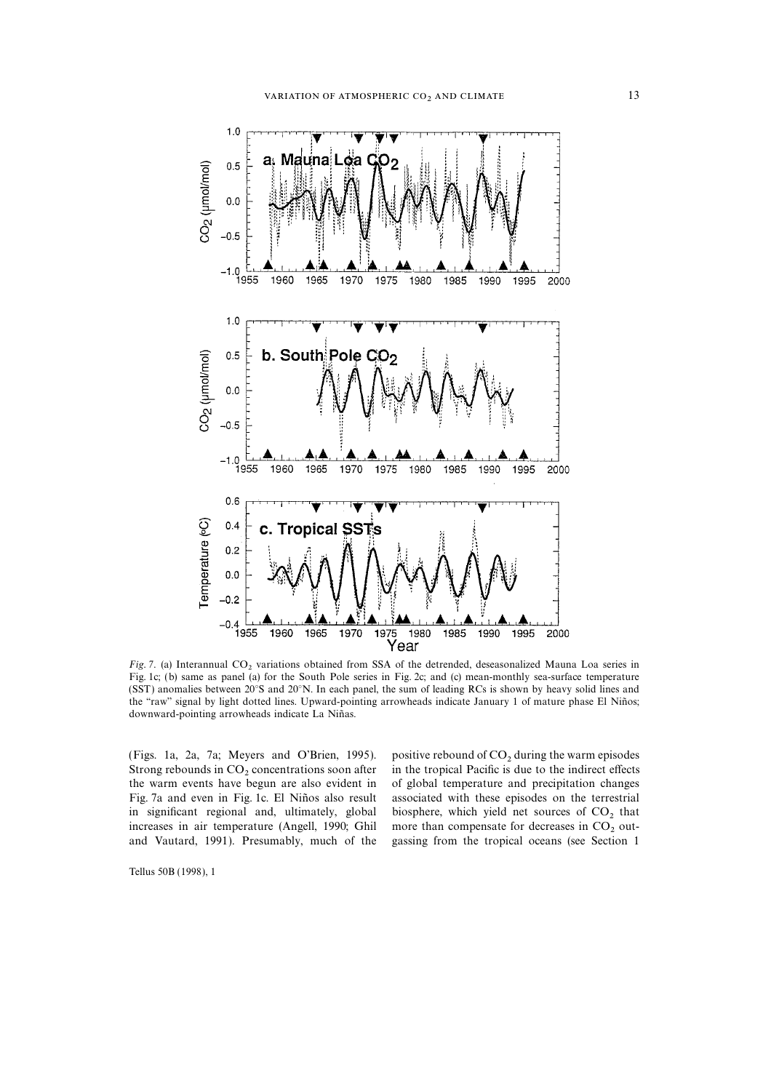

Fig. 7. (a) Interannual  $CO_2$  variations obtained from SSA of the detrended, deseasonalized Mauna Loa series in Fig. 1c; (b) same as panel (a) for the South Pole series in Fig. 2c; and (c) mean-monthly sea-surface temperature (SST) anomalies between 20°S and 20°N. In each panel, the sum of leading RCs is shown by heavy solid lines and the "raw" signal by light dotted lines. Upward-pointing arrowheads indicate January 1 of mature phase El Niños; downward-pointing arrowheads indicate La Niñas.

(Figs. 1a, 2a, 7a; Meyers and O'Brien, 1995). positive rebound of  $CO_2$  during the warm episodes Strong rebounds in  $CO_2$  concentrations soon after in the tropical Pacific is due to the indirect effects the warm events have begun are also evident in Fig. 7a and even in Fig. 1c. El Niños also result associated with these episodes on the terrestrial in significant regional and, ultimately, global biosphere, which yield net sources of  $CO_2$  that increases in air temperature (Angell, 1990; Ghil more than compensate for decreases in  $CO_2$  out-

in the tropical Pacific is due to the indirect effects of global temperature and precipitation changes increases in air temperature (Angell, 1990; Ghil more than compensate for decreases in  $CO<sub>2</sub>$  out-<br>and Vautard, 1991). Presumably, much of the gassing from the tropical oceans (see Section 1 gassing from the tropical oceans (see Section 1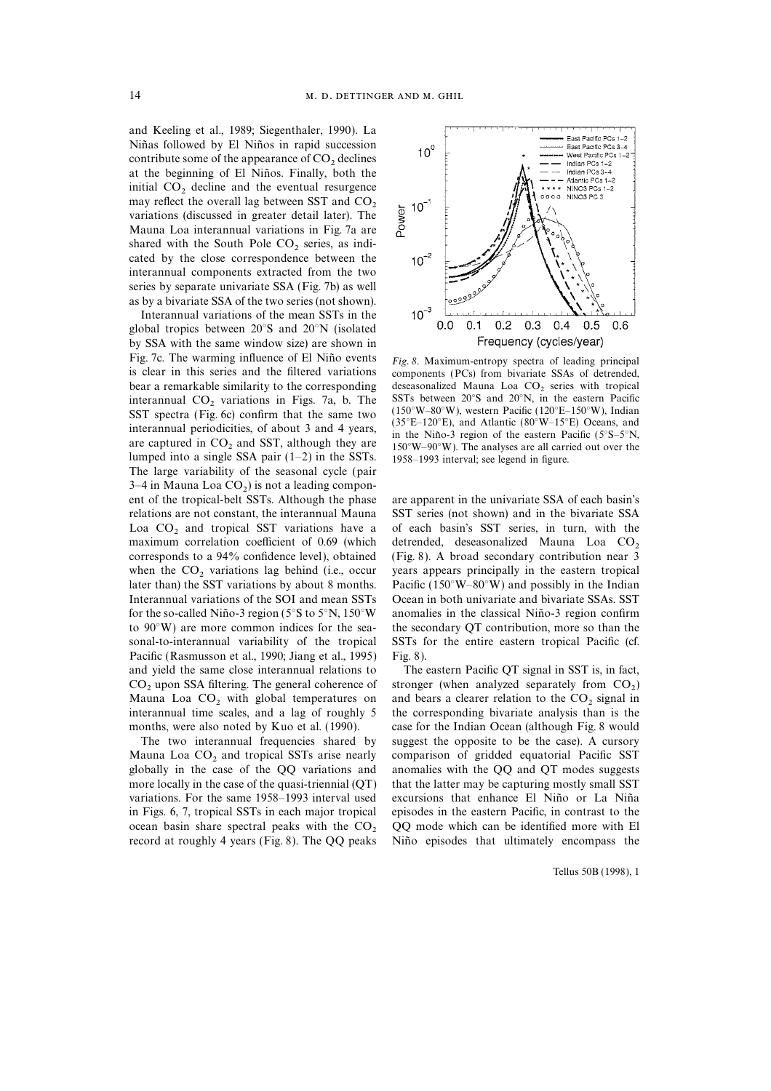and Keeling et al., 1989; Siegenthaler, 1990). La Niñas followed by El Niños in rapid succession contribute some of the appearance of  $CO<sub>2</sub>$  declines at the beginning of El Niños. Finally, both the initial  $CO<sub>2</sub>$  decline and the eventual resurgence may reflect the overall lag between SST and  $CO<sub>2</sub>$ variations (discussed in greater detail later). The Mauna Loa interannual variations in Fig. 7a are shared with the South Pole  $CO<sub>2</sub>$  series, as indicated by the close correspondence between the interannual components extracted from the two series by separate univariate SSA (Fig. 7b) as well as by a bivariate SSA of the two series (not shown).

Interannual variations of the mean SSTs in the global tropics between 20°S and 20°N (isolated by SSA with the same window size) are shown in Fig. 7c. The warming influence of El Niño events  $Fig. 8$ . Maximum-entropy spectra of leading principal is clear in this series and the filtered variations components (PCs) from bivariate SSAs of detrended. interannual CO<sub>2</sub> variations in Figs. 7a, b. The SSTs between 20°S and 20°N, in the eastern Pacific SST spectra (Fig. 6c) confirm that the same two  $(150^{\circ}W-80^{\circ}W)$ , western Pacific ( $120^{\circ}E-150^{\circ}W$ ), Indian inter The large variability of the seasonal cycle (pair  $3-4$  in Mauna Loa  $CO<sub>2</sub>$ ) is not a leading component of the tropical-belt SSTs. Although the phase are apparent in the univariate SSA of each basin's maximum correlation coefficient of 0.69 (which corresponds to a 94% confidence level), obtained Pacific (Rasmusson et al., 1990; Jiang et al., 1995) Fig. 8). and yield the same close interannual relations to The eastern Pacific QT signal in SST is, in fact, Mauna Loa  $CO<sub>2</sub>$  with global temperatures on interannual time scales, and a lag of roughly 5

Mauna Loa  $CO_2$  and tropical SSTs arise nearly comparison of gridded equatorial Pacific SST globally in the case of the QQ variations and anomalies with the QQ and QT modes suggests more locally in the case of the quasi-triennial (QT) that the latter may be capturing mostly small SST variations. For the same 1958–1993 interval used excursions that enhance El Niño or La Niña in Figs. 6, 7, tropical SSTs in each major tropical episodes in the eastern Pacific, in contrast to the



components (PCs) from bivariate SSAs of detrended, bear a remarkable similarity to the corresponding deseasonalized Mauna Loa  $CO_2$  series with tropical interannual  $CO_2$  variations in Figs. 7a, b. The SSTs between 20°S and 20°N, in the eastern Pacific

relations are not constant, the interannual Mauna SST series (not shown) and in the bivariate SSA Loa  $CO_2$  and tropical SST variations have a of each basin's SST series, in turn, with the maximum correlation coefficient of 0.69 (which detrended, deseasonalized Mauna Loa  $CO_2$ (Fig. 8). A broad secondary contribution near 3 when the  $CO_2$  variations lag behind (i.e., occur years appears principally in the eastern tropical later than) the SST variations by about 8 months. Pacific ( $150^{\circ}W - 80^{\circ}W$ ) and possibly in the Indian Pacific (150°W–80°W) and possibly in the Indian Interannual variations of the SOI and mean SSTs Ocean in both univariate and bivariate SSAs. SST for the so-called Niño-3 region ( $5^{\circ}$ S to  $5^{\circ}$ N, 150°W anomalies in the classical Niño-3 region confirm to 90°W) are more common indices for the sea- the secondary QT contribution, more so than the sonal-to-interannual variability of the tropical SSTs for the entire eastern tropical Pacific (cf.

 $CO<sub>2</sub>$  upon SSA filtering. The general coherence of stronger (when analyzed separately from  $CO<sub>2</sub>$ ) Mauna Loa CO, with global temperatures on and bears a clearer relation to the CO, signal in the corresponding bivariate analysis than is the months, were also noted by Kuo et al. (1990). case for the Indian Ocean (although Fig. 8 would The two interannual frequencies shared by suggest the opposite to be the case). A cursory anomalies with the QQ and QT modes suggests ocean basin share spectral peaks with the  $CO<sub>2</sub>$  QQ mode which can be identified more with El record at roughly 4 years (Fig. 8). The QQ peaks Niño episodes that ultimately encompass the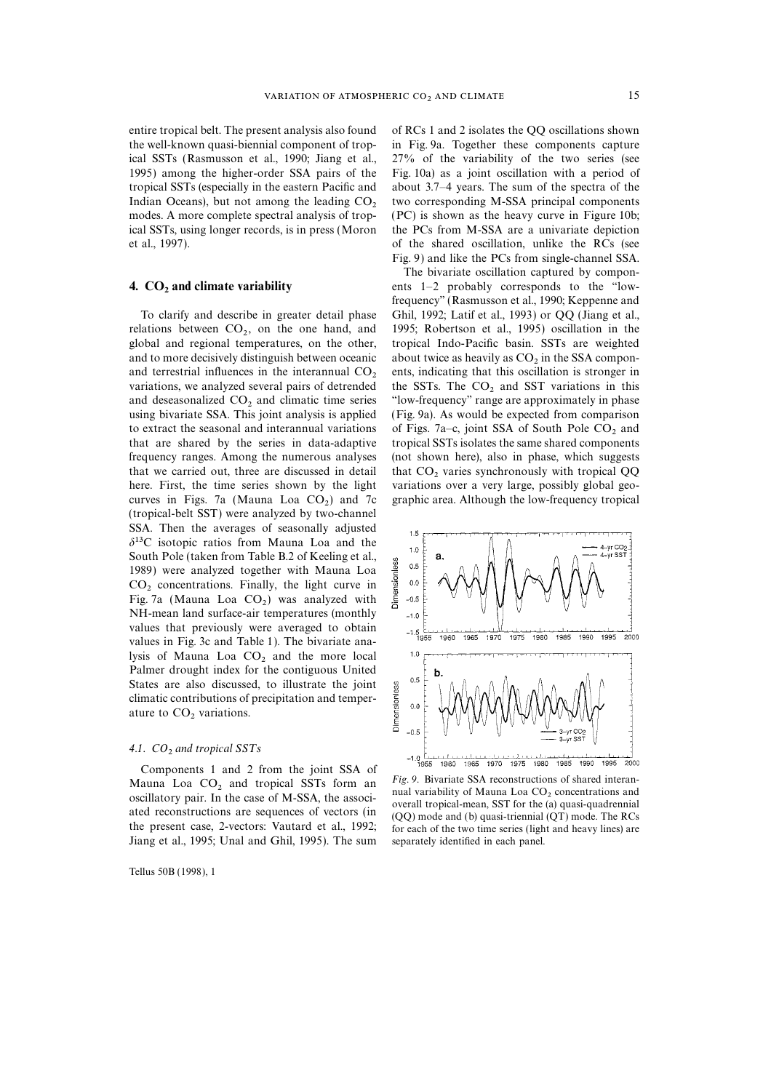### 4.  $CO<sub>2</sub>$  and climate variability

relations between  $CO<sub>2</sub>$ , on the one hand, and global and regional temperatures, on the other, and to more decisively distinguish between oceanic about twice as heavily as  $CO<sub>2</sub>$  in the SSA compon-<br>and terrestrial influences in the interannual  $CO<sub>2</sub>$  ents, indicating that this oscillation is stronger in variations, we analyzed several pairs of detrended the SSTs. The  $CO<sub>2</sub>$  and SST variations in this and deseasonalized  $CO<sub>2</sub>$  and climatic time series "low-frequency" range are approximately in phase using bivariate SSA. This joint analysis is applied to extract the seasonal and interannual variations of Figs. 7a–c, joint SSA of South Pole  $CO_2$  and that are shared by the series in data-adaptive tropical SSTs isolates the same shared components frequency ranges. Among the numerous analyses (not shown here), also in phase, which suggests that we carried out, three are discussed in detail that  $CO_2$  varies synchronously with tropical QQ here. First, the time series shown by the light variations over a very large, possibly global geocurves in Figs. 7a (Mauna Loa  $CO<sub>2</sub>$ ) and 7c (tropical-belt SST) were analyzed by two-channel SSA. Then the averages of seasonally adjusted  $\delta^{13}$ C isotopic ratios from Mauna Loa and the South Pole (taken from Table B.2 of Keeling et al., 1989) were analyzed together with Mauna Loa  $CO<sub>2</sub>$  concentrations. Finally, the light curve in Fig. 7a (Mauna Loa  $CO<sub>2</sub>$ ) was analyzed with<br>NH mass land surface air temperatures (monthly NH-mean land surface-air temperatures (monthly values that previously were averaged to obtain values in Fig. 3c and Table 1). The bivariate analysis of Mauna Loa  $CO<sub>2</sub>$  and the more local Palmer drought index for the contiguous United States are also discussed, to illustrate the joint climatic contributions of precipitation and temperature to  $CO<sub>2</sub>$  variations.

### 4.1.  $CO<sub>2</sub>$  and tropical SSTs

Components 1 and 2 from the joint SSA of Mauna Loa  $CO_2$  and tropical SSTs form and variability of Mauna Loa  $CO_2$  and tropical SSTs form and variability of Mauna Loa  $CO_2$  concentrations and oscillatory pair. In the case of M-SSA, the association is and a construction are sequences of vectors (in  $(QT)$  mode and topical-mean, SST for the (a) quasi-quadrennial the present case, 2-vectors: Vautard et al., 1992; Jiang et al., 1995; Unal and Ghil, 1995). The sum separately identified in each panel.

Tellus 50B (1998), 1

entire tropical belt. The present analysis also found of RCs 1 and 2 isolates the QQ oscillations shown the well-known quasi-biennial component of trop- in Fig. 9a. Together these components capture ical SSTs (Rasmusson et al., 1990; Jiang et al., 27% of the variability of the two series (see 1995) among the higher-order SSA pairs of the Fig. 10a) as a joint oscillation with a period of tropical SSTs (especially in the eastern Pacific and about 3.7–4 years. The sum of the spectra of the Indian Oceans), but not among the leading  $CO<sub>2</sub>$  two corresponding M-SSA principal components modes. A more complete spectral analysis of trop- (PC) is shown as the heavy curve in Figure 10b; ical SSTs, using longer records, is in press (Moron the PCs from M-SSA are a univariate depiction et al., 1997). of the shared oscillation, unlike the RCs (see Fig. 9) and like the PCs from single-channel SSA.

The bivariate oscillation captured by components  $1-2$  probably corresponds to the "lowfrequency'' (Rasmusson et al., 1990; Keppenne and To clarify and describe in greater detail phase Ghil, 1992; Latif et al., 1993) or QQ (Jiang et al., 1995; Robertson et al., 1995) oscillation in the tropical Indo-Pacific basin. SSTs are weighted "low-frequency" range are approximately in phase (Fig. 9a). As would be expected from comparison tropical SSTs isolates the same shared components variations over a very large, possibly global geographic area. Although the low-frequency tropical



for each of the two time series (light and heavy lines) are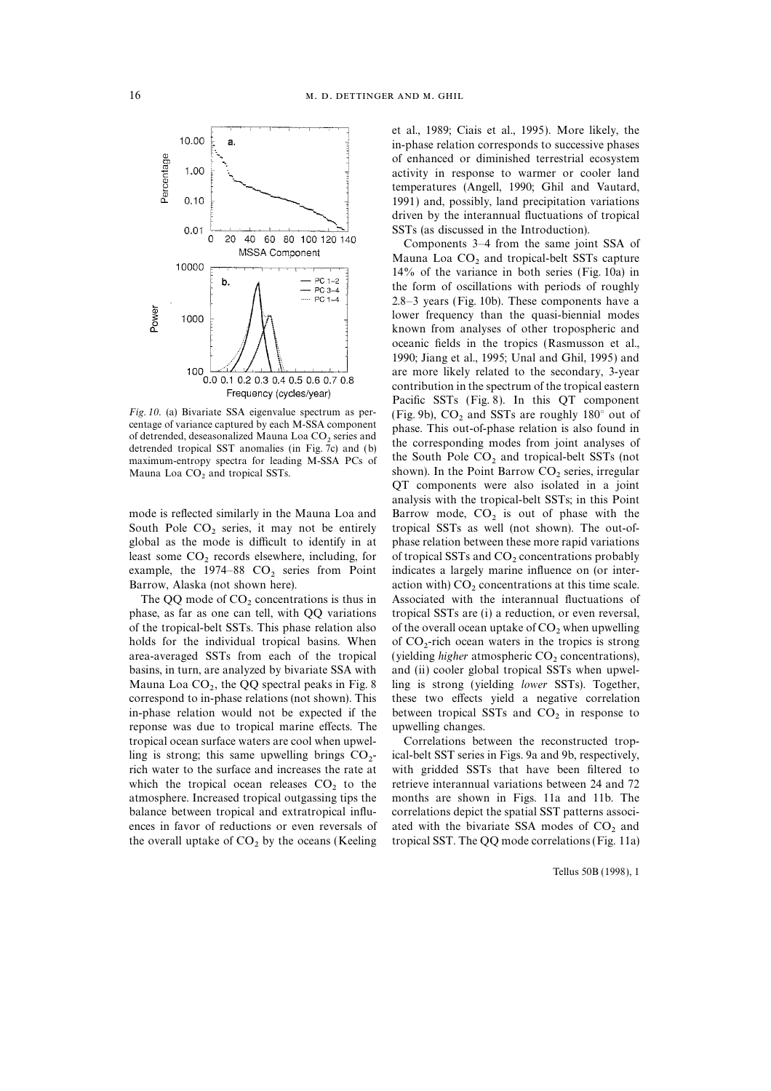

South Pole  $CO_2$  series, it may not be entirely tropical SSTs as well (not shown). The out-of-<br>global as the mode is difficult to identify in at phase relation between these more rapid variations least some  $CO_2$  records elsewhere, including, for of tropical SSTs and  $CO_2$  concentrations probably example, the 1974–88  $CO_2$  series from Point indicates a largely marine influence on (or interexample, the 1974–88  $CO_2$  series from Point indicates a largely marine influence on (or inter-<br>Barrow, Alaska (not shown here). action with)  $CO_2$  concentrations at this time scale.

of the tropical-belt SSTs. This phase relation also of the overall ocean uptake of  $CO<sub>2</sub>$  when upwelling holds for the individual tropical basins. When area-averaged SSTs from each of the tropical area-averaged SSTs from each of the tropical (yielding *higher* atmospheric  $CO_2$  concentrations), basins, in turn, are analyzed by bivariate SSA with and (ii) cooler global tropical SSTs when upwel-Mauna Loa  $CO_2$ , the  $QQ$  spectral peaks in Fig. 8 ling is strong (yielding *lower* SSTs). Together, correspond to in-phase relations (not shown). This these two effects yield a negative correlation Mauna Loa  $CO<sub>2</sub>$ , the QQ spectral peaks in Fig. 8 in-phase relation would not be expected if the between tropical SSTs and  $CO<sub>2</sub>$  in response to reponse was due to tropical marine effects. The upwelling changes. reponse was due to tropical marine effects. The tropical ocean surface waters are cool when upwel- Correlations between the reconstructed tropling is strong; this same upwelling brings  $CO<sub>2</sub>$ -<br>rich water to the surface and increases the rate at which the tropical ocean releases  $CO<sub>2</sub>$  to the retrieve interannual variations between 24 and 72 atmosphere. Increased tropical outgassing tips the months are shown in Figs. 11a and 11b. The balance between tropical and extratropical influ- correlations depict the spatial SST patterns associences in favor of reductions or even reversals of ated with the bivariate SSA modes of  $CO<sub>2</sub>$  and the overall uptake of  $CO<sub>2</sub>$  by the oceans (Keeling tropical SST. The QQ mode correlations (Fig. 11a)

et al., 1989; Ciais et al., 1995). More likely, the in-phase relation corresponds to successive phases of enhanced or diminished terrestrial ecosystem activity in response to warmer or cooler land temperatures (Angell, 1990; Ghil and Vautard, 1991) and, possibly, land precipitation variations driven by the interannual fluctuations of tropical SSTs (as discussed in the Introduction).

Components 3–4 from the same joint SSA of Mauna Loa  $CO<sub>2</sub>$  and tropical-belt SSTs capture 14% of the variance in both series (Fig. 10a) in the form of oscillations with periods of roughly 2.8–3 years (Fig. 10b). These components have a lower frequency than the quasi-biennial modes known from analyses of other tropospheric and oceanic fields in the tropics (Rasmusson et al., 1990; Jiang et al., 1995; Unal and Ghil, 1995) and are more likely related to the secondary, 3-year contribution in the spectrum of the tropical eastern Pacific SSTs (Fig. 8). In this QT component Fig. 10. (a) Bivariate SSA eigenvalue spectrum as per-<br>centage of variance captured by each M-SSA component phase. This out-of-phase relation is also found in of detrended, deseasonalized Mauna Loa CO<sub>2</sub> series and<br>detrended tropical SST anomalies (in Fig. 7c) and (b)<br>maximum-entropy spectra for leading M-SSA PCs of<br>maximum-entropy spectra for leading M-SSA PCs of<br>shown). In the shown). In the Point Barrow  $CO<sub>2</sub>$  series, irregular QT components were also isolated in a joint analysis with the tropical-belt SSTs; in this Point mode is reflected similarly in the Mauna Loa and Barrow mode,  $CO_2$  is out of phase with the South Pole  $CO_2$  series, it may not be entirely tropical SSTs as well (not shown). The out-ofphase relation between these more rapid variations arrow, Alaska (not shown here). action with)  $CO_2$  concentrations at this time scale.<br>The QQ mode of  $CO_2$  concentrations is thus in Associated with the interannual fluctuations of The QQ mode of  $CO_2$  concentrations is thus in Associated with the interannual fluctuations of phase, as far as one can tell, with QQ variations tropical SSTs are (i) a reduction, or even reversal, tropical SSTs are (i) a reduction, or even reversal, of  $CO_2$ -rich ocean waters in the tropics is strong and (ii) cooler global tropical SSTs when upwelthese two effects yield a negative correlation

> ical-belt SST series in Figs. 9a and 9b, respectively, with gridded SSTs that have been filtered to months are shown in Figs. 11a and 11b. The tropical SST. The QQ mode correlations (Fig. 11a)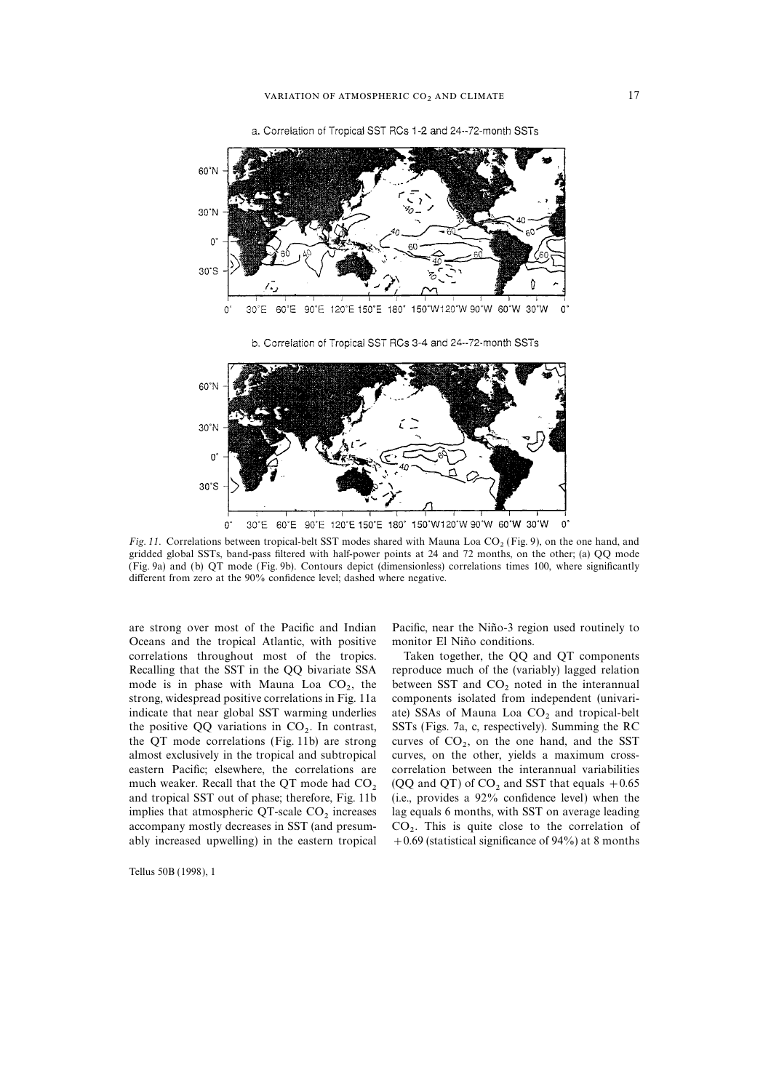



Fig. 11. Correlations between tropical-belt SST modes shared with Mauna Loa CO<sub>2</sub> (Fig. 9), on the one hand, and gridded global SSTs, band-pass filtered with half-power points at 24 and 72 months, on the other; (a) QQ mode (Fig. 9a) and (b) QT mode (Fig. 9b). Contours depict (dimensionless) correlations times 100, where significantly different from zero at the 90% confidence level; dashed where negative.

are strong over most of the Pacific and Indian Pacific, near the Niño-3 region used routinely to Oceans and the tropical Atlantic, with positive monitor El Niño conditions. correlations throughout most of the tropics. Taken together, the QQ and QT components mode is in phase with Mauna Loa  $CO<sub>2</sub>$ , the strong, widespread positive correlations in Fig. 11a the positive QQ variations in  $CO<sub>2</sub>$ . In contrast, the QT mode correlations (Fig. 11b) are strong almost exclusively in the tropical and subtropical ably increased upwelling) in the eastern tropical

Tellus 50B (1998), 1

Recalling that the SST in the QQ bivariate SSA reproduce much of the (variably) lagged relation between SST and  $CO<sub>2</sub>$  noted in the interannual components isolated from independent (univariindicate that near global SST warming underlies ate) SSAs of Mauna Loa  $CO<sub>2</sub>$  and tropical-belt SSTs (Figs. 7a, c, respectively). Summing the RC curves of  $CO<sub>2</sub>$ , on the one hand, and the SST curves, on the other, yields a maximum crosseastern Pacific; elsewhere, the correlations are correlation between the interannual variabilities much weaker. Recall that the QT mode had  $CO<sub>2</sub>$  (QQ and QT) of  $CO<sub>2</sub>$  and SST that equals +0.65 and tropical SST out of phase; therefore, Fig. 11b (i.e., provides a 92% confidence level) when the implies that atmospheric QT-scale  $CO<sub>2</sub>$  increases lag equals 6 months, with SST on average leading accompany mostly decreases in SST (and presum-<br>  $CO<sub>2</sub>$ . This is quite close to the correlation of<br>
ably increased upwelling) in the eastern tropical  $+0.69$  (statistical significance of 94%) at 8 months  $CO<sub>2</sub>$ . This is quite close to the correlation of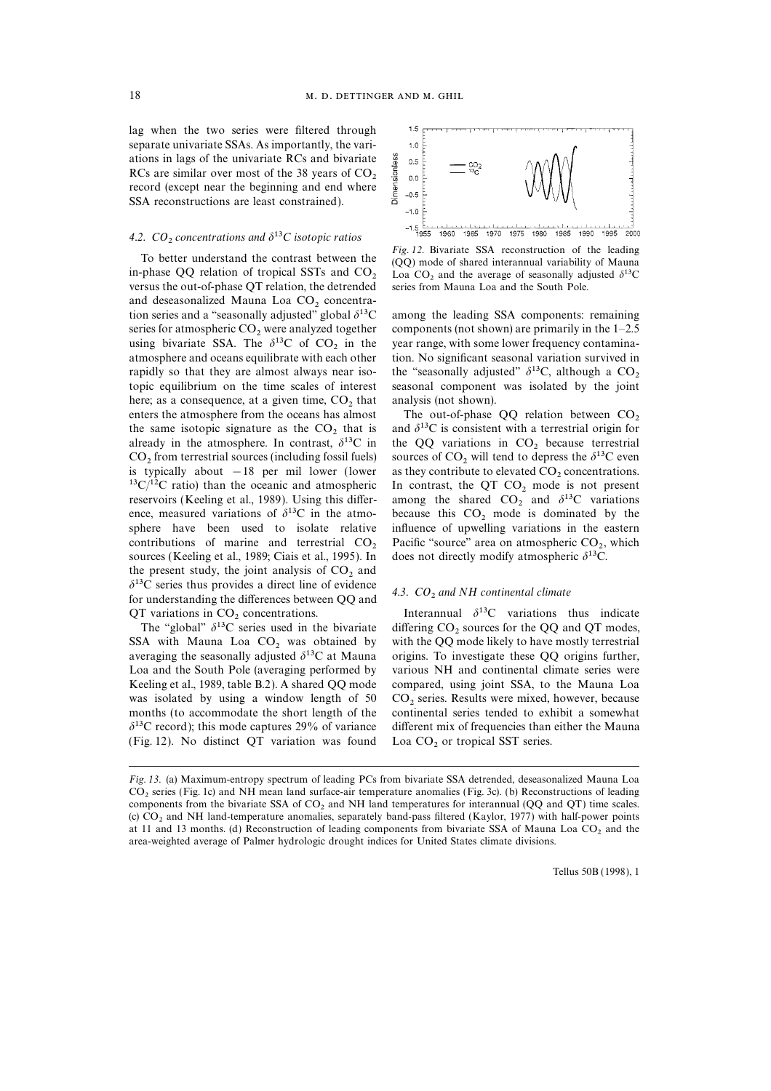lag when the two series were filtered through separate univariate SSAs. As importantly, the variations in lags of the univariate RCs and bivariate RCs are similar over most of the 38 years of  $CO<sub>2</sub>$  record (except near the beginning and end where SSA reconstructions are least constrained).

## 4.2.  $CO<sub>2</sub>$  concentrations and  $\delta^{13}C$  isotopic ratios

versus the out-of-phase QT relation, the detrended and deseasonalized Mauna Loa CO<sub>2</sub> concentra-<br>tion series and a "seasonally adjusted" global  $\delta^{13}$ C series for atmospheric CO<sub>2</sub> were analyzed together components (not shown) are primarily in the 1–2.5 using bivariate SSA. The  $\delta^{13}$ C of CO<sub>2</sub> in the year range, with some lower frequency contaminausing bivariate SSA. The  $\delta^{13}C$  of  $CO_2$  in the year range, with some lower frequency contamina-<br>atmosphere and oceans equilibrate with each other tion. No significant seasonal variation survived in rapidly so that they are almost always near iso-<br>the "seasonally adjusted"  $\delta^{13}C$ , although a  $CO_2$ <br>topic equilibrium on the time scales of interest seasonal component was isolated by the joint here; as a consequence, at a given time,  $CO<sub>2</sub>$  that analysis (not shown).<br>enters the atmosphere from the oceans has almost The out-of-phase enters the atmosphere from the oceans has almost The out-of-phase QQ relation between  $CO_2$  the same isotopic signature as the  $CO_2$  that is and  $\delta^{13}C$  is consistent with a terrestrial origin for the same isotopic signature as the  $CO_2$  that is and  $\delta^{13}C$  is consistent with a terrestrial origin for already in the atmosphere. In contrast,  $\delta^{13}C$  in the QQ variations in  $CO_2$  because terrestrial already in the atmosphere. In contrast,  $\delta^{13}C$  in the QQ variations in CO<sub>2</sub> because terrestrial CO<sub>2</sub> from terrestrial sources (including fossil fuels) sources of CO<sub>2</sub> will tend to depress the  $\delta^{13}C$  even  $CO_2$  from terrestrial sources (including fossil fuels) sources of  $CO_2$  will tend to depress the  $\delta^{13}C$  even is typically about  $-18$  per mil lower (lower as they contribute to elevated CO<sub>2</sub> concentrations. is typically about −18 per mil lower (lower as they contribute to elevated  $CO_2$  concentrations.<br><sup>13</sup>C/<sup>12</sup>C ratio) than the oceanic and atmospheric In contrast, the QT CO<sub>2</sub> mode is not present <sup>13</sup>C/<sup>12</sup>C ratio) than the oceanic and atmospheric In contrast, the QT CO<sub>2</sub> mode is not present reservoirs (Keeling et al., 1989). Using this differ- among the shared CO<sub>2</sub> and  $\delta$ <sup>13</sup>C variations reservoirs (Keeling et al., 1989). Using this differ-<br>ence, measured variations of  $\delta^{13}C$  in the atmo-<br>because this  $CO_2$  mode is dominated by the ence, measured variations of  $\delta^{13}$ C in the atmo- because this CO<sub>2</sub> mode is dominated by the sphere have been used to isolate relative influence of upwelling variations in the eastern contributions of marine and terrestrial  $CO_2$  Pacific "source" area on atmospheric  $CO_2$ , sources (Keeling et al., 1989; Ciais et al., 1995). In does not directly modify atmospheric  $\delta^{13}C$ . sources (Keeling et al., 1989; Ciais et al., 1995). In the present study, the joint analysis of  $CO_2$  and  $\delta^{13}$ C series thus provides a direct line of evidence  $\frac{d}{d}$ . CO<sub>2</sub> and NH continental climate for understanding the differences between QQ and  $\frac{d}{d}$ . CO<sub>2</sub> and NH continental climate

The "global"  $\delta^{13}$ C series used in the bivariate SSA with Mauna Loa CO<sub>2</sub> was obtained by SSA with Mauna Loa  $CO_2$  was obtained by with the QQ mode likely to have mostly terrestrial averaging the seasonally adjusted  $\delta^{13}C$  at Mauna origins. To investigate these QQ origins further, Loa and the South Pole (averaging performed by various NH and continental climate series were Keeling et al., 1989, table B.2). A shared QQ mode compared, using joint SSA, to the Mauna Loa was isolated by using a window length of  $50$  CO<sub>2</sub> series. Results were mixed, however, because months (to accommodate the short length of the continental series tended to exhibit a somewhat  $\delta$ <sup>13</sup>C record); this mode captures 29% of variance different mix of frequencies than either the Mauna (Fig. 12). No distinct QT variation was found  $\text{Loa CO}_2$  or tropical SST series.



To better understand the contrast between the Fig. 12. Bivariate SSA reconstruction of the leading in-phase QQ relation of tropical SSTs and CO<sub>2</sub> Loa CO<sub>3</sub> and the average of seasonally adjusted  $\delta^{13}C$ Loa CO<sub>2</sub> and the average of seasonally adjusted  $\delta^{13}$ C series from Mauna Loa and the South Pole.

among the leading SSA components: remaining tion. No significant seasonal variation survived in

influence of upwelling variations in the eastern Pacific "source" area on atmospheric  $CO<sub>2</sub>$ , which

QT variations in CO<sub>2</sub> concentrations. Interannual  $\delta^{13}$ C variations thus indicate<br>The "global"  $\delta^{13}$ C series used in the bivariate differing CO<sub>2</sub> sources for the QQ and QT modes, origins. To investigate these QQ origins further, continental series tended to exhibit a somewhat

Fig. 13. (a) Maximum-entropy spectrum of leading PCs from bivariate SSA detrended, deseasonalized Mauna Loa CO<sub>2</sub> series (Fig. 1c) and NH mean land surface-air temperature anomalies (Fig. 3c). (b) Reconstructions of leading components from the bivariate SSA of CO<sub>2</sub> and NH land temperatures for interannual (OO and OT) time scales. (c)  $CO<sub>2</sub>$  and NH land-temperature anomalies, separately band-pass filtered (Kaylor, 1977) with half-power points at 11 and 13 months. (d) Reconstruction of leading components from bivariate SSA of Mauna Loa CO<sub>2</sub> and the area-weighted average of Palmer hydrologic drought indices for United States climate divisions.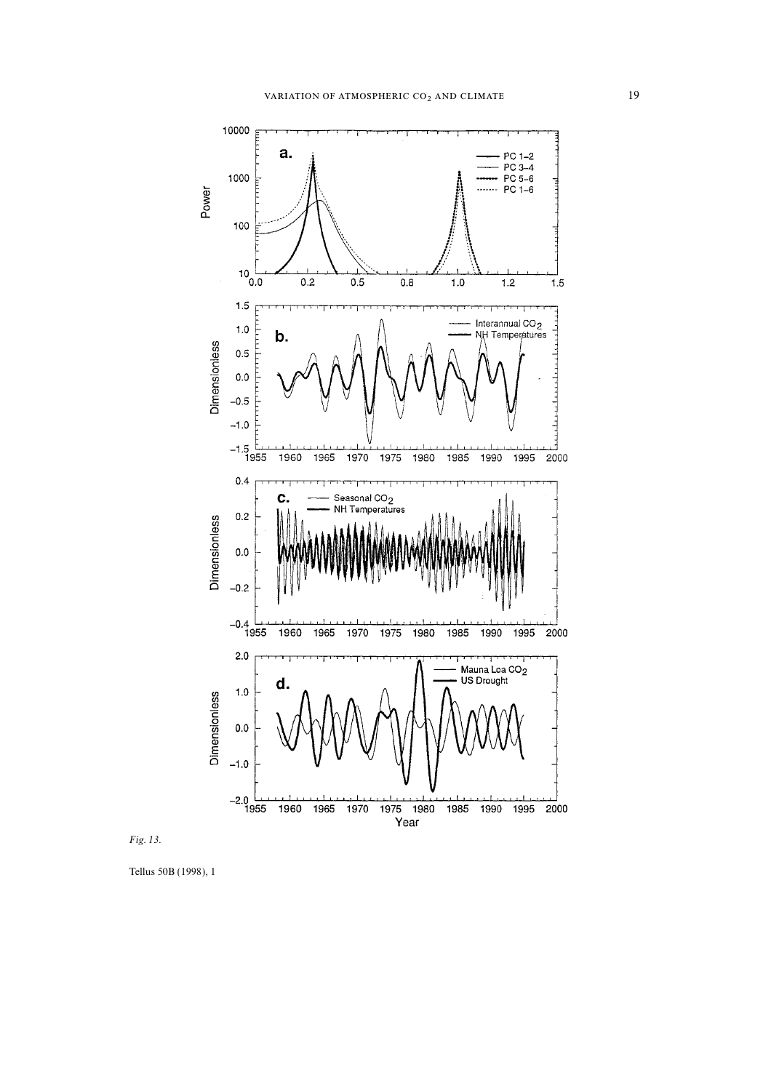

Fig. 13.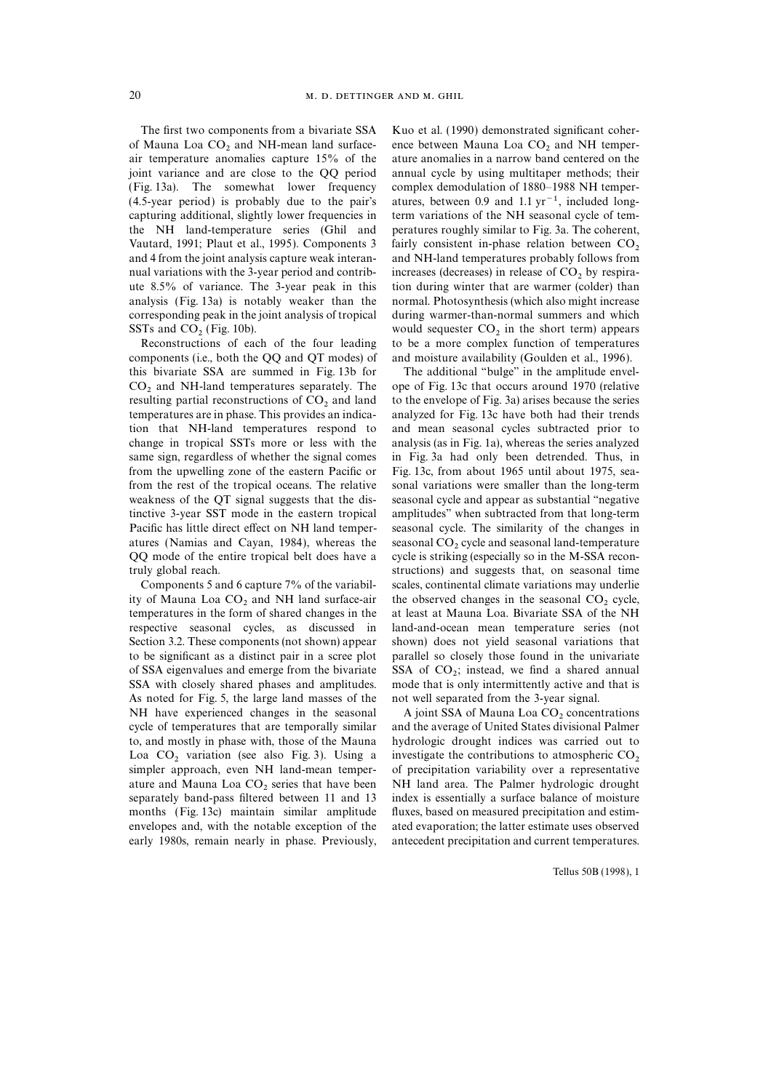The first two components from a bivariate SSA Kuo et al. (1990) demonstrated significant coherof Mauna Loa  $CO_2$  and NH-mean land surface-<br>air temperature anomalies capture 15% of the ature anomalies in a narrow band centered on the joint variance and are close to the QQ period annual cycle by using multitaper methods; their (Fig. 13a). The somewhat lower frequency complex demodulation of 1880–1988 NH temper- (4.5-year period) is probably due to the pair's atures, between 0.9 and 1.1  $yr^{-1}$ , included longcapturing additional, slightly lower frequencies in term variations of the NH seasonal cycle of temthe NH land-temperature series (Ghil and peratures roughly similar to Fig. 3a. The coherent, Vautard, 1991; Plaut et al., 1995). Components 3 fairly consistent in-phase relation between  $CO_2$  and 4 from the joint analysis capture weak interan- and NH-land temperatures probably follows from nual variations with the 3-year period and contrib-<br>increases (decreases) in release of  $CO_2$  by respira-<br>ute 8.5% of variance. The 3-year peak in this in during winter that are warmer (colder) than analysis (Fig. 13a) is notably weaker than the normal. Photosynthesis (which also might increase corresponding peak in the joint analysis of tropical during warmer-than-normal summers and which

components (i.e., both the QQ and QT modes) of and moisture availability (Goulden et al., 1996). this bivariate SSA are summed in Fig. 13b for The additional ''bulge'' in the amplitude envel- $CO<sub>2</sub>$  and NH-land temperatures separately. The ope of Fig. 13c that occurs around 1970 (relative resulting partial reconstructions of  $CO<sub>2</sub>$  and land to the envelope of Fig. 3a) arises because the series resulting partial reconstructions of  $CO<sub>2</sub>$  and land to the envelope of Fig. 3a) arises because the series temperatures are in phase. This provides an indica-<br>analyzed for Fig. 13c have both had their trends tion that NH-land temperatures respond to and mean seasonal cycles subtracted prior to change in tropical SSTs more or less with the analysis (as in Fig. 1a), whereas the series analyzed same sign, regardless of whether the signal comes in Fig. 3a had only been detrended. Thus, in from the upwelling zone of the eastern Pacific or Fig. 13c, from about 1965 until about 1975, seafrom the rest of the tropical oceans. The relative sonal variations were smaller than the long-term weakness of the QT signal suggests that the dis-<br>seasonal cycle and appear as substantial "negative tinctive 3-year SST mode in the eastern tropical amplitudes'' when subtracted from that long-term Pacific has little direct effect on NH land temper- seasonal cycle. The similarity of the changes in atures (Namias and Cayan, 1984), whereas the seasonal CO<sub>2</sub> cycle and seasonal land-temperature OQ mode of the entire tropical belt does have a cycle is striking (especially so in the M-SSA recontruly global reach. structions) and suggests that, on seasonal time

ity of Mauna Loa  $CO_2$  and NH land surface-air the observed changes in the seasonal  $CO_2$  cycle, temperatures in the form of shared changes in the at least at Mauna Loa. Bivariate SSA of the NH respective seasonal cycles, as discussed in land-and-ocean mean temperature series (not Section 3.2. These components (not shown) appear shown) does not yield seasonal variations that to be significant as a distinct pair in a scree plot parallel so closely those found in the univariate of SSA eigenvalues and emerge from the bivariate SSA with closely shared phases and amplitudes. As noted for Fig. 5, the large land masses of the not well separated from the 3-year signal. NH have experienced changes in the seasonal A joint SSA of Mauna Loa  $CO<sub>2</sub>$  concentrations cycle of temperatures that are temporally similar and the average of United States divisional Palmer to, and mostly in phase with, those of the Mauna hydrologic drought indices was carried out to Loa  $CO_2$  variation (see also Fig. 3). Using a investigate the contributions to atmospheric  $CO_2$  simpler approach, even NH land-mean temper- of precipitation variability over a representative ature and Mauna Loa  $CO_2$  series that have been NH land area. The Palmer hydrologic drought separately band-pass filtered between 11 and 13 index is essentially a surface balance of moisture months (Fig. 13c) maintain similar amplitude fluxes, based on measured precipitation and estimenvelopes and, with the notable exception of the ated evaporation; the latter estimate uses observed

ature anomalies in a narrow band centered on the tion during winter that are warmer (colder) than SSTs and  $CO_2$  (Fig. 10b). would sequester  $CO_2$  in the short term) appears<br>Reconstructions of each of the four leading to be a more complex function of temperatures to be a more complex function of temperatures

analyzed for Fig. 13c have both had their trends cycle is striking (especially so in the M-SSA recon-Components 5 and 6 capture 7% of the variabil- scales, continental climate variations may underlie at least at Mauna Loa. Bivariate SSA of the NH SSA of  $CO<sub>2</sub>$ ; instead, we find a shared annual mode that is only intermittently active and that is

and the average of United States divisional Palmer index is essentially a surface balance of moisture early 1980s, remain nearly in phase. Previously, antecedent precipitation and current temperatures.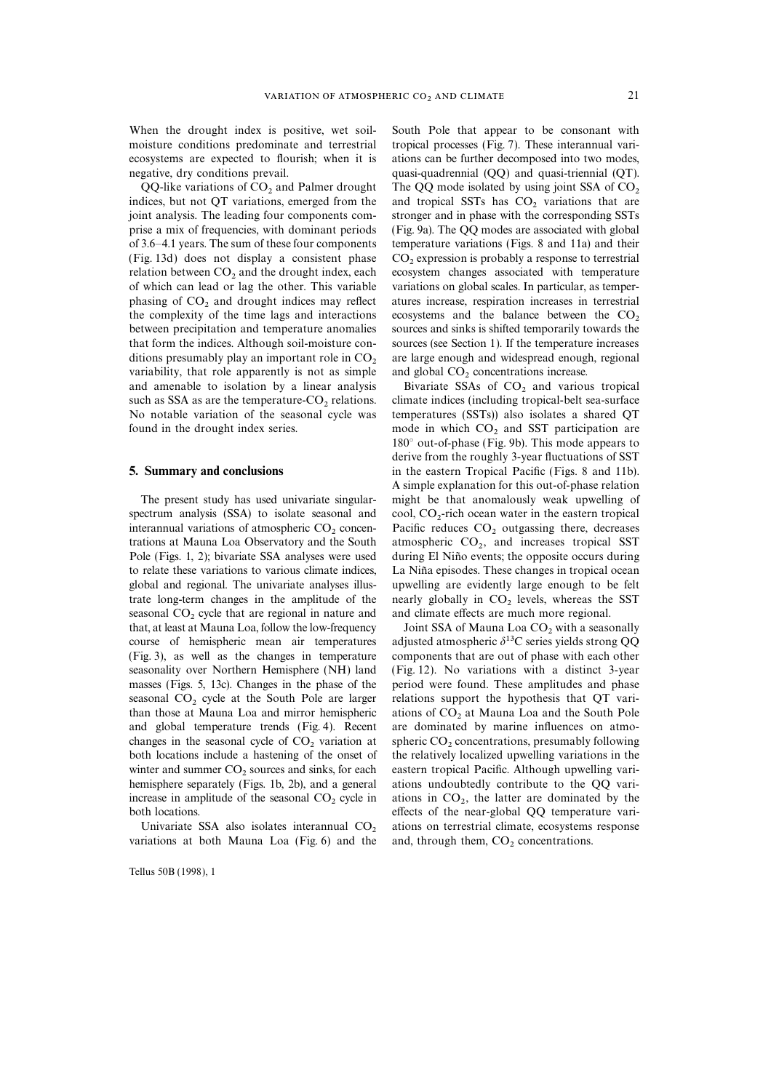When the drought index is positive, wet soil-<br>South Pole that appear to be consonant with

QQ-like variations of  $CO_2$  and Palmer drought The QQ mode isolated by using joint SSA of  $CO_2$  indices, but not QT variations, emerged from the and tropical SSTs has  $CO_2$  variations that are joint analysis. The leading prise a mix of frequencies, with dominant periods (Fig. 9a). The QQ modes are associated with global of 3.6–4.1 years. The sum of these four components temperature variations (Figs. 8 and 11a) and their (Fig. 13d) does not display a consistent phase  $CO_2$  expression is probably a response to terrestrial relation between  $CO_2$  and the drought index, each ecosystem changes associated with temperature relation between  $CO_2$  and the drought index, each ecosystem changes associated with temperature of which can lead or lag the other. This variable variations on global scales. In particular, as temperphasing of  $CO_2$  and drought indices may reflect atures increase, respiration increases in terrestrial the complexity of the time lags and interactions ecosystems and the balance between the  $CO_2$ the complexity of the time lags and interactions ecosystems and the balance between the  $CO<sub>2</sub>$  between precipitation and temperature anomalies sources and sinks is shifted temporarily towards the that form the indices. Although soil-moisture con- sources (see Section 1). If the temperature increases ditions presumably play an important role in  $CO<sub>2</sub>$  are large enough and widespread enough, regional variability, that role apparently is not as simple and global  $CO<sub>2</sub>$  concentrations increase. variability, that role apparently is not as simple and global  $CO<sub>2</sub>$  concentrations increase.<br>and amenable to isolation by a linear analysis Bivariate SSAs of  $CO<sub>2</sub>$  and various tropical and amenable to isolation by a linear analysis such as SSA as are the temperature  $CO<sub>2</sub>$  relations. such as SSA as are the temperature- $CO_2$  relations. climate indices (including tropical-belt sea-surface No notable variation of the seasonal cycle was temperatures (SSTs)) also isolates a shared QT

spectrum analysis (SSA) to isolate seasonal and interannual variations of atmospheric  $CO<sub>2</sub>$  concentrations at Mauna Loa Observatory and the South Pole (Figs. 1, 2); bivariate SSA analyses were used to relate these variations to various climate indices, La Niña episodes. These changes in tropical ocean global and regional. The univariate analyses illus- upwelling are evidently large enough to be felt trate long-term changes in the amplitude of the nearly globally in  $CO_2$  levels, whereas the SST seasonal  $CO_2$  cycle that are regional in nature and and climate effects are much more regional. seasonal  $CO_2$  cycle that are regional in nature and and climate effects are much more regional.<br>
2 that, at least at Mauna Loa, follow the low-frequency Joint SSA of Mauna Loa  $CO_2$  with a seasonally that, at least at Mauna Loa, follow the low-frequency course of hemispheric mean air temperatures (Fig. 3), as well as the changes in temperature components that are out of phase with each other seasonality over Northern Hemisphere (NH) land (Fig. 12). No variations with a distinct 3-year masses (Figs. 5, 13c). Changes in the phase of the period were found. These amplitudes and phase seasonal  $CO_2$  cycle at the South Pole are larger relations support the hypothesis that QT vari-<br>than those at Mauna Loa and mirror hemispheric ations of  $CO_2$  at Mauna Loa and the South Pole than those at Mauna Loa and mirror hemispheric ations of  $CO<sub>2</sub>$  at Mauna Loa and the South Pole and global temperature trends (Fig. 4). Recent are dominated by marine influences on atmochanges in the seasonal cycle of  $CO_2$  variation at spheric  $CO_2$  concentrations, presumably following both locations include a hastening of the onset of the relatively localized upwelling variations in the winter and summer  $CO_2$  sources and sinks, for each eastern tropical Pacific. Although upwelling vari-<br>hemisphere separately (Figs. 1b, 2b), and a general ations undoubtedly contribute to the QQ variincrease in amplitude of the seasonal  $CO<sub>2</sub>$  cycle in both locations

variations at both Mauna Loa (Fig.  $6$ ) and the

Tellus 50B (1998), 1

moisture conditions predominate and terrestrial tropical processes (Fig. 7). These interannual variecosystems are expected to flourish; when it is ations can be further decomposed into two modes, negative, dry conditions prevail.  $quasi-quadrential (QQ)$  and quasi-triennial (QT). stronger and in phase with the corresponding SSTs variations on global scales. In particular, as tempersources and sinks is shifted temporarily towards the

temperatures (SSTs)) also isolates a shared QT found in the drought index series.  $\qquad \qquad \text{mode}$  in which  $CO<sub>2</sub>$  and SST participation are 180° out-of-phase (Fig. 9b). This mode appears to derive from the roughly 3-year fluctuations of SST 5. Summary and conclusions in the eastern Tropical Pacific (Figs. 8 and 11b). A simple explanation for this out-of-phase relation The present study has used univariate singular- might be that anomalously weak upwelling of cool,  $CO_2$ -rich ocean water in the eastern tropical Pacific reduces  $CO<sub>2</sub>$  outgassing there, decreases atmospheric  $CO<sub>2</sub>$ , and increases tropical SST during El Niño events; the opposite occurs during

adjusted atmospheric  $\delta^{13}$ C series yields strong QQ are dominated by marine influences on atmothe relatively localized upwelling variations in the ations undoubtedly contribute to the QQ variations in  $CO<sub>2</sub>$ , the latter are dominated by the effects of the near-global QQ temperature vari-Univariate SSA also isolates interannual  $CO<sub>2</sub>$  ations on terrestrial climate, ecosystems response riations at both Mauna Loa (Fig. 6) and the and, through them, CO, concentrations.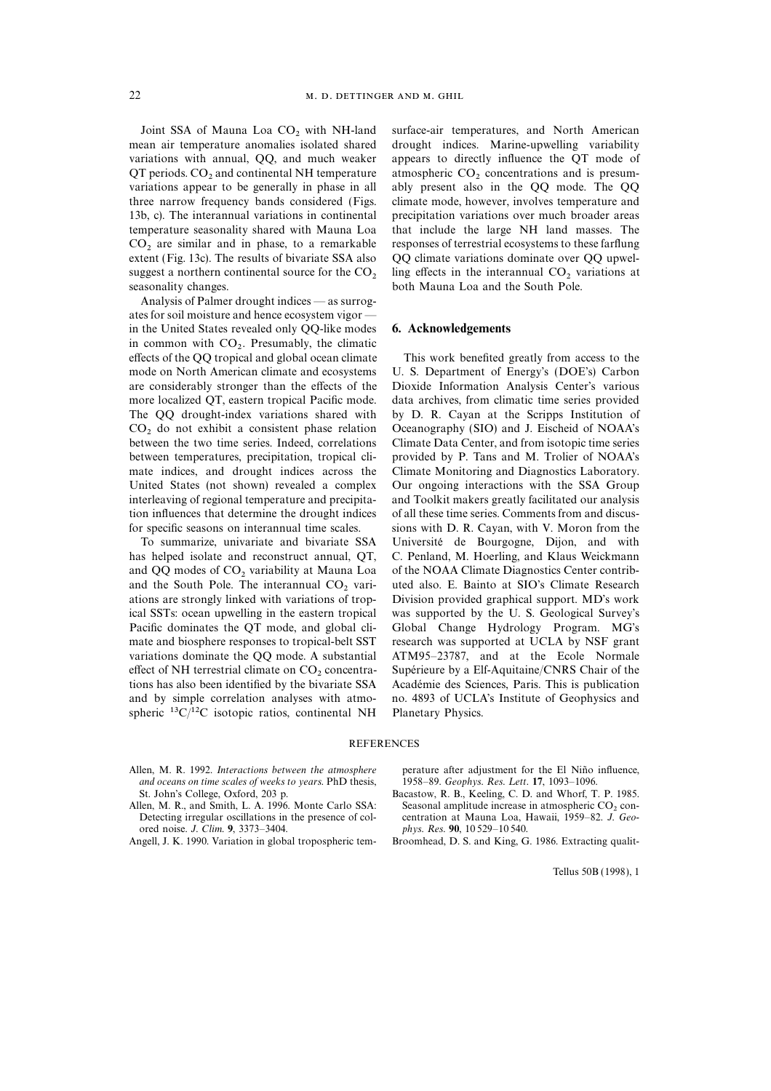$QT$  periods. CO<sub>2</sub> and continental NH temperature atmospheric CO<sub>2</sub> concentrations and is presum-<br>variations appear to be generally in phase in all ably present also in the QQ mode. The QQ three narrow frequency bands considered (Figs. climate mode, however, involves temperature and 13b, c). The interannual variations in continental precipitation variations over much broader areas

Analysis of Palmer drought indices — as surrogates for soil moisture and hence ecosystem vigor in the United States revealed only QQ-like modes 6. Acknowledgements in common with  $CO<sub>2</sub>$ . Presumably, the climatic  $\epsilon$  factor of the OO transical and algebra accomplimate effects of the QQ tropical and global ocean climate This work benefited greatly from access to the mode on North American climate and ecosystems U. S. Department of Energy's (DOE's) Carbon are considerably stronger than the effects of the Dioxide Information Analysis Center's various more localized QT, eastern tropical Pacific mode. data archives, from climatic time series provided The QQ drought-index variations shared with by D. R. Cayan at the Scripps Institution of  $CO<sub>2</sub>$  do not exhibit a consistent phase relation Oceanography (SIO) and J. Eischeid of NOAA's between the two time series. Indeed, correlations Climate Data Center, and from isotopic time series between temperatures, precipitation, tropical cli- provided by P. Tans and M. Trolier of NOAA's mate indices, and drought indices across the Climate Monitoring and Diagnostics Laboratory. United States (not shown) revealed a complex Our ongoing interactions with the SSA Group interleaving of regional temperature and precipita- and Toolkit makers greatly facilitated our analysis tion influences that determine the drought indices of all these time series. Comments from and discusfor specific seasons on interannual time scales. sions with D. R. Cayan, with V. Moron from the

has helped isolate and reconstruct annual, QT, C. Penland, M. Hoerling, and Klaus Weickmann and  $QQ$  modes of  $CO_2$  variability at Mauna Loa of the NOAA Climate Diagnostics Center contrib-<br>and the South Pole. The interannual  $CO_2$  vari- uted also. E. Bainto at SIO's Climate Research and the South Pole. The interannual  $CO<sub>2</sub>$  variations are strongly linked with variations of tropical SSTs: ocean upwelling in the eastern tropical was supported by the U. S. Geological Survey's Pacific dominates the QT mode, and global cli- Global Change Hydrology Program. MG's mate and biosphere responses to tropical-belt SST research was supported at UCLA by NSF grant variations dominate the QQ mode. A substantial ATM95–23787, and at the Ecole Normale effect of NH terrestrial climate on  $CO_2$  concentra-<br>tions has also been identified by the bivariate SSA Académie des Sciences, Paris. This is publication and by simple correlation analyses with atmo- no. 4893 of UCLA's Institute of Geophysics and spheric  ${}^{13}C/{}^{12}C$  isotopic ratios, continental NH Planetary Physics.

Joint SSA of Mauna Loa  $CO_2$  with NH-land surface-air temperatures, and North American mean air temperature anomalies isolated shared drought indices. Marine-upwelling variability drought indices. Marine-upwelling variability variations with annual, QQ, and much weaker appears to directly influence the QT mode of ably present also in the QQ mode. The QQ temperature seasonality shared with Mauna Loa that include the large NH land masses. The  $CO<sub>2</sub>$  are similar and in phase, to a remarkable responses of terrestrial ecosystems to these farflung extent (Fig. 13c). The results of bivariate SSA also  $O$  Colimate variations dominate over  $OO$  upwel-QQ climate variations dominate over QQ upwelsuggest a northern continental source for the  $CO<sub>2</sub>$  ling effects in the interannual  $CO<sub>2</sub>$  variations at both Mauna Loa and the South Pole. both Mauna Loa and the South Pole.

Climate Data Center, and from isotopic time series. To summarize, univariate and bivariate SSA Universite´ de Bourgogne, Dijon, and with Division provided graphical support. MD's work Académie des Sciences, Paris. This is publication

### **REFERENCES**

- Allen, M. R. 1992. Interactions between the atmosphere perature after adjustment for the El Niño influence, and oceans on time scales of weeks to years. PhD thesis, 1958–89. Geophys. Res. Lett. 17, 1093–1096.<br>St. John's College, Oxford, 203 p. Bacastow, R. B., Keeling, C. D. and Whorf, T
- ored noise. J. Clim. 9, 3373–3404.<br>Angell, J. K. 1990. Variation in global tropospheric tem-
- 

- Bacastow, R. B., Keeling, C. D. and Whorf, T. P. 1985. Allen, M. R., and Smith, L. A. 1996. Monte Carlo SSA: Seasonal amplitude increase in atmospheric  $CO_2$  con-<br>Detecting irregular oscillations in the presence of col-<br>centration at Mauna Loa, Hawaii, 1959–82. J. Geocentration at Mauna Loa, Hawaii, 1959–82. J. Geo-<br>phys. Res. 90, 10529–10540.
	- Broomhead, D. S. and King, G. 1986. Extracting qualit-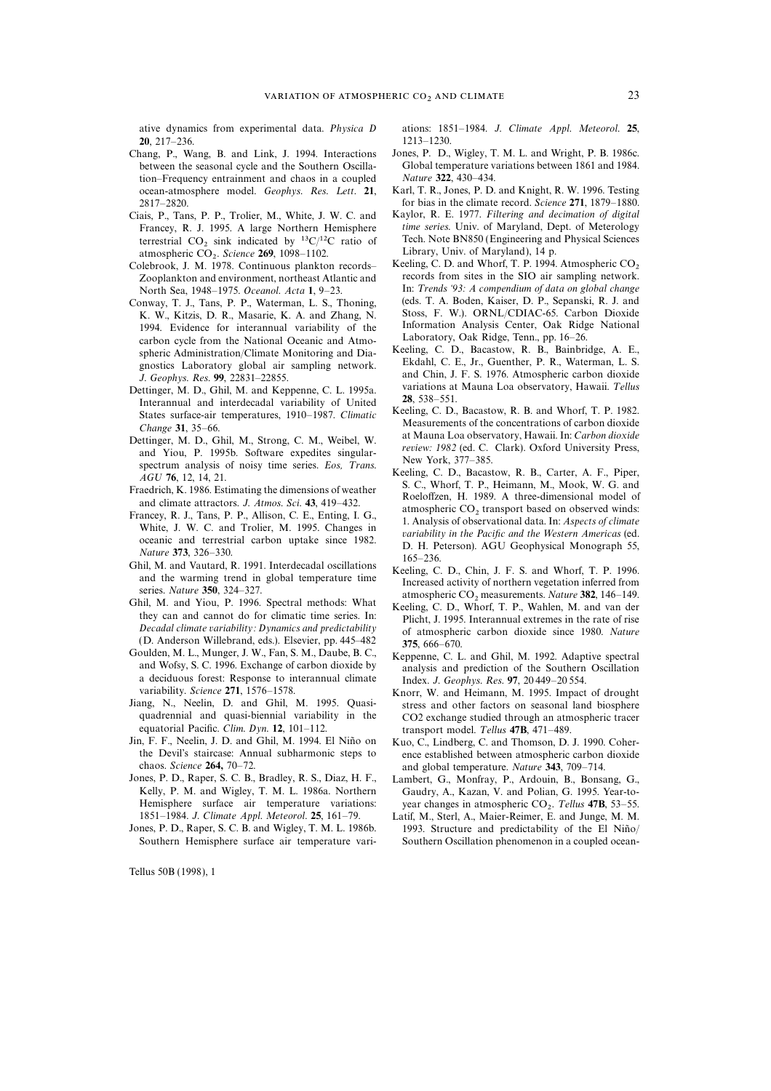ative dynamics from experimental data. Physica D ations: 1851–1984. J. Climate Appl. Meteorol. 25, 20, 217–236.<br>hang, P., Wang, B. and Link, J. 1994. Interactions Jones, P. D., Wigley, T. M. L. and Wright, P. B. 1986c.

- Chang, P., Wang, B. and Link, J. 1994. Interactions tion–Frequency entrainment and chaos in a coupled Nature 322, 430–434.<br>
ocean-atmosphere model *Geophys Res Lett* 21 Karl, T. R., Jones, P. D. and Knight, R. W. 1996. Testing ocean-atmosphere model. Geophys. Res. Lett. 21,
- Ciais, P., Tans, P. P., Trolier, M., White, J. W. C. and Kaylor, R. E. 1977. Filtering and decimation of digital<br>Francey, R. J. 1995. A large Northern Hemisphere time series. Univ. of Maryland, Dept. of Meterology terrestrial  $CO_2$  sink indicated by <sup>13</sup>C/<sup>12</sup>C ratio of Tech. Note BN850 (Engineering and Physical Science 269 1098–1102 Library, Univ. of Maryland), 14 p. atmospheric  $CO_2$ . Science 269, 1098–1102. Library, Univ. of Maryland), 14 p.<br>1-library, Univ. of Maryland), 14 p.
- 
- 1994. Evidence for interannual variability of the Information Analysis Center, Oak Ridge National<br>carbon cycle from the National Oceanic and Atmo-<br>spheric Administration/Climate Monitoring and Dia-<br>gnostics Laboratory glob
- Interannual and interdecadal variability of United **28**, 538–551.<br>
States surface-air temperatures, 1910–1987. Climatic Keeling, C. D., Bacastow, R. B. and Whorf, T. P. 1982.
- 
- 
- 
- 
- 
- Decadal climate variability: Dynamics and predictability<br>
(D. Anderson Willebrand, eds.). Elsevier, pp. 445–482<br>
Goulden, M. L., Munger, J. W., Fan, S. M., Daube, B. C.,<br>
and Wofsy, S. C. 1996. Exchange of carbon dioxide b
- 
- equatorial Pacific. Clim. Dyn. 12,  $101-112$ . transport model. Tellus 47B,  $471-489$ .<br>Jin, F. F., Neelin, J. D. and Ghil, M. 1994. El Niño on Kuo, C. Lindberg. C. and Thomson. D. n, F. F., Neelin, J. D. and Ghil, M. 1994. El Niño on Kuo, C., Lindberg, C. and Thomson, D. J. 1990. Coher-<br>the Devil's staircase: Annual subharmonic steps to ence established between atmospheric carbon dioxide chaos. Science 264, 70–72.<br>Jones, P. D., Raper, S. C. B., Bradley, R. S., Diaz, H. F., Lambert. G., Monfray, P., Ardouin, B., Bonsa
- Jones, P. D., Raper, S. C. B., Bradley, R. S., Diaz, H. F., Lambert, G., Monfray, P., Ardouin, B., Bonsang, G., Hemisphere surface air temperature variations: 1851–1984. J. Climate Appl. Meteorol. 25, 161–79.
- Southern Hemisphere surface air temperature vari- Southern Oscillation phenomenon in a coupled ocean-

- between the seasonal cycle and the Southern Oscilla-<br>tion-Frequency entrainment and chaos in a coupled *Nature* 322, 430–434.
- 2817–2820.<br>
<sup>2817–2820</sup>. for bias in the climate record. Science 271, 1879–1880.<br>
<sup>2817</sup>–2820. For P. P. Trolier. M. White. J. W. C. and Kaylor, R. E. 1977. *Filtering and decimation of digital*
- Francey, R. J. 1995. A large Northern Hemisphere *time series*. Univ. of Maryland, Dept. of Meterology terrestrial CO, sink indicated by <sup>13</sup>C/<sup>12</sup>C ratio of Tech. Note BN850 (Engineering and Physical Sciences
- Colebrook, J. M. 1978. Continuous plankton records–<br>
Zooplankton and environment, northeast Atlantic and records from sites in the SIO air sampling network. records from sites in the SIO air sampling network.<br>In: Trends '93: A compendium of data on global change North Sea, 1948–1975. Oceanol. Acta 1, 9–23. In: Trends '93: A compendium of data on global change onway T. I. Tans P. P. Waterman, L. S. Thoning (eds. T. A. Boden, Kaiser, D. P., Sepanski, R. J. and Conway, T. J., Tans, P. P., Waterman, L. S., Thoning, (eds. T. A. Boden, Kaiser, D. P., Sepanski, R. J. and K. W. Kitzis, D. R. Masarie, K. A. and Zhang, N. Stoss, F. W.). ORNL/CDIAC-65. Carbon Dioxide K. W., Kitzis, D. R., Masarie, K. A. and Zhang, N. Stoss, F. W.). ORNL/CDIAC-65. Carbon Dioxide<br>1994 Evidence for interannual variability of the Information Analysis Center, Oak Ridge National
- J. Geophys. Res. 99, 22831–22855. and Chin, J. F. S. 1976. Atmospheric carbon dioxide<br>Dettinger, M. D., Ghil, M. and Keppenne, C. L. 1995a. variations at Mauna Loa observatory, Hawaii. Tellus
	-
- Change 31, 35–66.<br>
Detinger, M. D., Ghil, M., Strong, C. M., Weibel, W.<br>
2011 and Yiou, P. 1995b. Software expedites singular-<br>
and Yiou, P. 1995b. Software expedites singular-<br>
and Yiou, P. 1995b. Software expedites sing
	-
	-
	-
- variability. Science 271, 1576–1578. Knorr, W. and Heimann, M. 1995. Impact of drought<br>Jiang, N., Neelin, D. and Ghil, M. 1995. Quasi-<br>stress and other factors on seasonal land biosphere ang, N., Neelin, D. and Ghil, M. 1995. Quasi- stress and other factors on seasonal land biosphere quadrennial and quasi-biennial variability in the  $CO2$  exchange studied through an atmospheric tracer quadrennial and quasi-biennial variability in the  $CO2$  exchange studied through an atmospheric tracer<br>equatorial Pacific. Clim. Dyn. 12, 101–112.<br>ransport model Tellus **47B** 471–489
	- ence established between atmospheric carbon dioxide
	- Kelly, P. M. and Wigley, T. M. L. 1986a. Northern Gaudry, A., Kazan, V. and Polian, G. 1995. Year-toyear changes in atmospheric CO<sub>2</sub>. Tellus 47B, 53–55.
- 1851–1984. J. Climate Appl. Meteorol. 25, 161–79. Latif, M., Sterl, A., Maier-Reimer, E. and Junge, M. M. Jones, P. D., Raper, S. C. B. and Wigley, T. M. L. 1986b. 1993. Structure and predictability of the El Niño/ 1993. Structure and predictability of the El Niño/